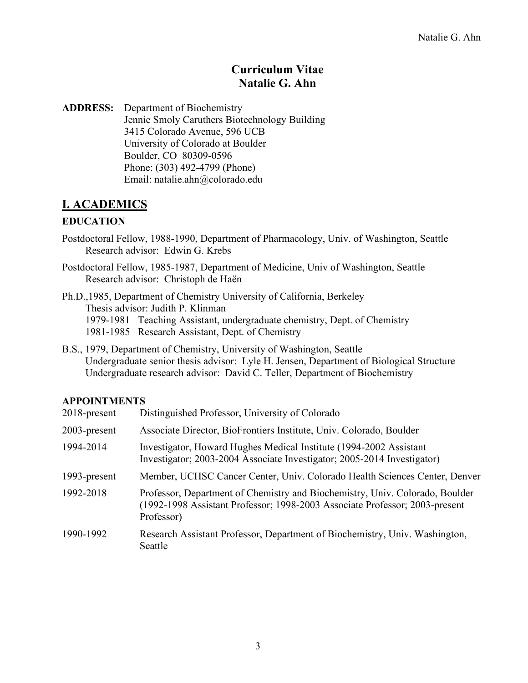### **Curriculum Vitae Natalie G. Ahn**

**ADDRESS:** Department of Biochemistry Jennie Smoly Caruthers Biotechnology Building 3415 Colorado Avenue, 596 UCB University of Colorado at Boulder Boulder, CO 80309-0596 Phone: (303) 492-4799 (Phone) Email: natalie.ahn@colorado.edu

### **I. ACADEMICS**

### **EDUCATION**

- Postdoctoral Fellow, 1988-1990, Department of Pharmacology, Univ. of Washington, Seattle Research advisor: Edwin G. Krebs
- Postdoctoral Fellow, 1985-1987, Department of Medicine, Univ of Washington, Seattle Research advisor: Christoph de Haën

Ph.D.,1985, Department of Chemistry University of California, Berkeley Thesis advisor: Judith P. Klinman 1979-1981 Teaching Assistant, undergraduate chemistry, Dept. of Chemistry 1981-1985 Research Assistant, Dept. of Chemistry

B.S., 1979, Department of Chemistry, University of Washington, Seattle Undergraduate senior thesis advisor: Lyle H. Jensen, Department of Biological Structure Undergraduate research advisor: David C. Teller, Department of Biochemistry

#### **APPOINTMENTS**

| 2018-present | Distinguished Professor, University of Colorado                                                                                                                           |
|--------------|---------------------------------------------------------------------------------------------------------------------------------------------------------------------------|
| 2003-present | Associate Director, BioFrontiers Institute, Univ. Colorado, Boulder                                                                                                       |
| 1994-2014    | Investigator, Howard Hughes Medical Institute (1994-2002 Assistant<br>Investigator; 2003-2004 Associate Investigator; 2005-2014 Investigator)                             |
| 1993-present | Member, UCHSC Cancer Center, Univ. Colorado Health Sciences Center, Denver                                                                                                |
| 1992-2018    | Professor, Department of Chemistry and Biochemistry, Univ. Colorado, Boulder<br>(1992-1998 Assistant Professor; 1998-2003 Associate Professor; 2003-present<br>Professor) |
| 1990-1992    | Research Assistant Professor, Department of Biochemistry, Univ. Washington,<br>Seattle                                                                                    |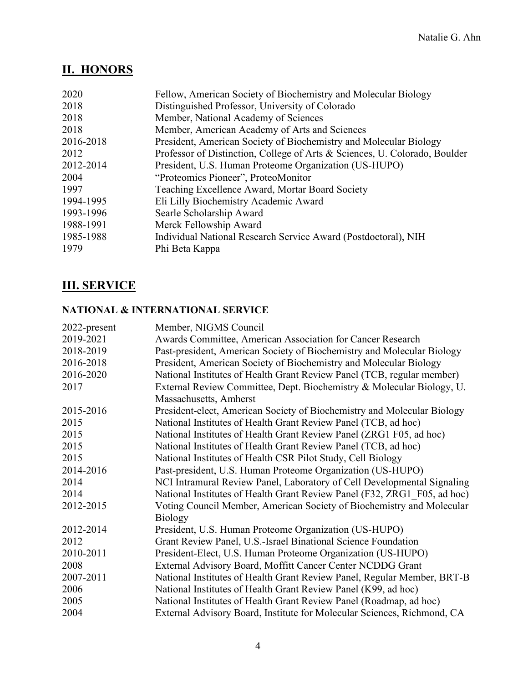# **II. HONORS**

| Fellow, American Society of Biochemistry and Molecular Biology             |
|----------------------------------------------------------------------------|
| Distinguished Professor, University of Colorado                            |
| Member, National Academy of Sciences                                       |
| Member, American Academy of Arts and Sciences                              |
| President, American Society of Biochemistry and Molecular Biology          |
| Professor of Distinction, College of Arts & Sciences, U. Colorado, Boulder |
| President, U.S. Human Proteome Organization (US-HUPO)                      |
| "Proteomics Pioneer", ProteoMonitor                                        |
| Teaching Excellence Award, Mortar Board Society                            |
| Eli Lilly Biochemistry Academic Award                                      |
| Searle Scholarship Award                                                   |
| Merck Fellowship Award                                                     |
| Individual National Research Service Award (Postdoctoral), NIH             |
| Phi Beta Kappa                                                             |
|                                                                            |

## **III. SERVICE**

### **NATIONAL & INTERNATIONAL SERVICE**

| 2022-present | Member, NIGMS Council                                                    |
|--------------|--------------------------------------------------------------------------|
| 2019-2021    | Awards Committee, American Association for Cancer Research               |
| 2018-2019    | Past-president, American Society of Biochemistry and Molecular Biology   |
| 2016-2018    | President, American Society of Biochemistry and Molecular Biology        |
| 2016-2020    | National Institutes of Health Grant Review Panel (TCB, regular member)   |
| 2017         | External Review Committee, Dept. Biochemistry & Molecular Biology, U.    |
|              | Massachusetts, Amherst                                                   |
| 2015-2016    | President-elect, American Society of Biochemistry and Molecular Biology  |
| 2015         | National Institutes of Health Grant Review Panel (TCB, ad hoc)           |
| 2015         | National Institutes of Health Grant Review Panel (ZRG1 F05, ad hoc)      |
| 2015         | National Institutes of Health Grant Review Panel (TCB, ad hoc)           |
| 2015         | National Institutes of Health CSR Pilot Study, Cell Biology              |
| 2014-2016    | Past-president, U.S. Human Proteome Organization (US-HUPO)               |
| 2014         | NCI Intramural Review Panel, Laboratory of Cell Developmental Signaling  |
| 2014         | National Institutes of Health Grant Review Panel (F32, ZRG1 F05, ad hoc) |
| 2012-2015    | Voting Council Member, American Society of Biochemistry and Molecular    |
|              | <b>Biology</b>                                                           |
| 2012-2014    | President, U.S. Human Proteome Organization (US-HUPO)                    |
| 2012         | Grant Review Panel, U.S.-Israel Binational Science Foundation            |
| 2010-2011    | President-Elect, U.S. Human Proteome Organization (US-HUPO)              |
| 2008         | External Advisory Board, Moffitt Cancer Center NCDDG Grant               |
| 2007-2011    | National Institutes of Health Grant Review Panel, Regular Member, BRT-B  |
| 2006         | National Institutes of Health Grant Review Panel (K99, ad hoc)           |
| 2005         | National Institutes of Health Grant Review Panel (Roadmap, ad hoc)       |
| 2004         | External Advisory Board, Institute for Molecular Sciences, Richmond, CA  |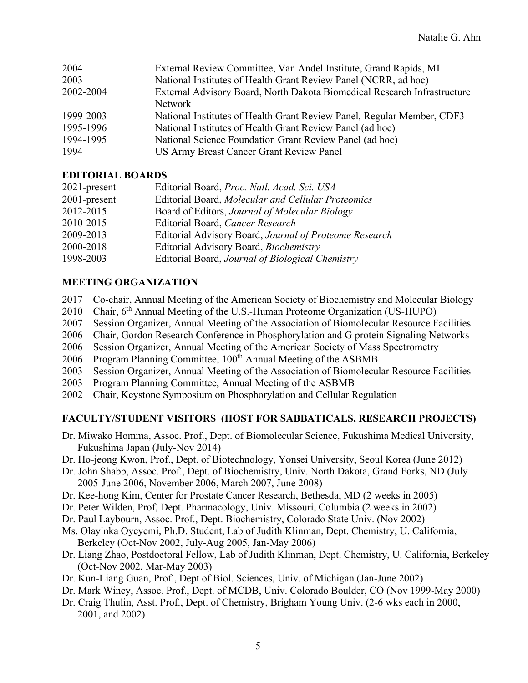| 2004      | External Review Committee, Van Andel Institute, Grand Rapids, MI         |
|-----------|--------------------------------------------------------------------------|
| 2003      | National Institutes of Health Grant Review Panel (NCRR, ad hoc)          |
| 2002-2004 | External Advisory Board, North Dakota Biomedical Research Infrastructure |
|           | <b>Network</b>                                                           |
| 1999-2003 | National Institutes of Health Grant Review Panel, Regular Member, CDF3   |
| 1995-1996 | National Institutes of Health Grant Review Panel (ad hoc)                |
| 1994-1995 | National Science Foundation Grant Review Panel (ad hoc)                  |
| 1994      | US Army Breast Cancer Grant Review Panel                                 |
|           |                                                                          |

#### **EDITORIAL BOARDS**

| $2021$ -present | Editorial Board, Proc. Natl. Acad. Sci. USA            |
|-----------------|--------------------------------------------------------|
| 2001-present    | Editorial Board, Molecular and Cellular Proteomics     |
| 2012-2015       | Board of Editors, Journal of Molecular Biology         |
| 2010-2015       | Editorial Board, Cancer Research                       |
| 2009-2013       | Editorial Advisory Board, Journal of Proteome Research |
| 2000-2018       | Editorial Advisory Board, Biochemistry                 |
| 1998-2003       | Editorial Board, Journal of Biological Chemistry       |

#### **MEETING ORGANIZATION**

- 2017 Co-chair, Annual Meeting of the American Society of Biochemistry and Molecular Biology
- 2010 Chair, 6<sup>th</sup> Annual Meeting of the U.S.-Human Proteome Organization (US-HUPO)
- 2007 Session Organizer, Annual Meeting of the Association of Biomolecular Resource Facilities
- 2006 Chair, Gordon Research Conference in Phosphorylation and G protein Signaling Networks
- 2006 Session Organizer, Annual Meeting of the American Society of Mass Spectrometry
- 2006 Program Planning Committee, 100<sup>th</sup> Annual Meeting of the ASBMB
- 2003 Session Organizer, Annual Meeting of the Association of Biomolecular Resource Facilities
- 2003 Program Planning Committee, Annual Meeting of the ASBMB
- 2002 Chair, Keystone Symposium on Phosphorylation and Cellular Regulation

#### **FACULTY/STUDENT VISITORS (HOST FOR SABBATICALS, RESEARCH PROJECTS)**

- Dr. Miwako Homma, Assoc. Prof., Dept. of Biomolecular Science, Fukushima Medical University, Fukushima Japan (July-Nov 2014)
- Dr. Ho-jeong Kwon, Prof., Dept. of Biotechnology, Yonsei University, Seoul Korea (June 2012)
- Dr. John Shabb, Assoc. Prof., Dept. of Biochemistry, Univ. North Dakota, Grand Forks, ND (July 2005-June 2006, November 2006, March 2007, June 2008)
- Dr. Kee-hong Kim, Center for Prostate Cancer Research, Bethesda, MD (2 weeks in 2005)
- Dr. Peter Wilden, Prof, Dept. Pharmacology, Univ. Missouri, Columbia (2 weeks in 2002)
- Dr. Paul Laybourn, Assoc. Prof., Dept. Biochemistry, Colorado State Univ. (Nov 2002)
- Ms. Olayinka Oyeyemi, Ph.D. Student, Lab of Judith Klinman, Dept. Chemistry, U. California, Berkeley (Oct-Nov 2002, July-Aug 2005, Jan-May 2006)
- Dr. Liang Zhao, Postdoctoral Fellow, Lab of Judith Klinman, Dept. Chemistry, U. California, Berkeley (Oct-Nov 2002, Mar-May 2003)
- Dr. Kun-Liang Guan, Prof., Dept of Biol. Sciences, Univ. of Michigan (Jan-June 2002)
- Dr. Mark Winey, Assoc. Prof., Dept. of MCDB, Univ. Colorado Boulder, CO (Nov 1999-May 2000)
- Dr. Craig Thulin, Asst. Prof., Dept. of Chemistry, Brigham Young Univ. (2-6 wks each in 2000, 2001, and 2002)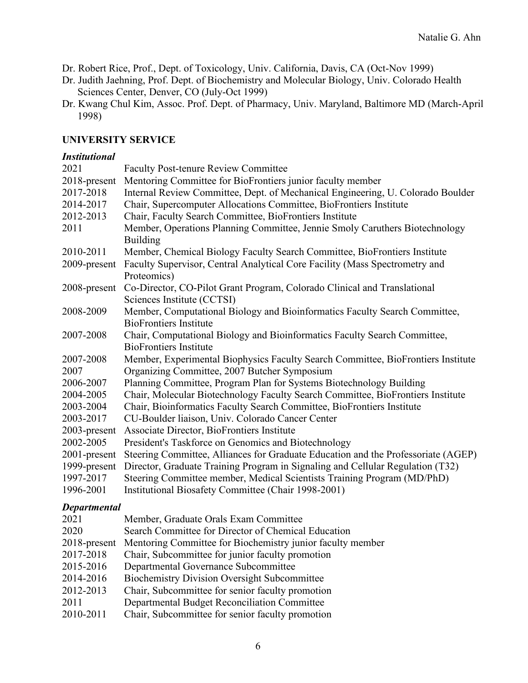Dr. Robert Rice, Prof., Dept. of Toxicology, Univ. California, Davis, CA (Oct-Nov 1999)

- Dr. Judith Jaehning, Prof. Dept. of Biochemistry and Molecular Biology, Univ. Colorado Health Sciences Center, Denver, CO (July-Oct 1999)
- Dr. Kwang Chul Kim, Assoc. Prof. Dept. of Pharmacy, Univ. Maryland, Baltimore MD (March-April 1998)

#### **UNIVERSITY SERVICE**

#### *Institutional*

| 2021         | <b>Faculty Post-tenure Review Committee</b>                                       |
|--------------|-----------------------------------------------------------------------------------|
| 2018-present | Mentoring Committee for BioFrontiers junior faculty member                        |
| 2017-2018    | Internal Review Committee, Dept. of Mechanical Engineering, U. Colorado Boulder   |
| 2014-2017    | Chair, Supercomputer Allocations Committee, BioFrontiers Institute                |
| 2012-2013    | Chair, Faculty Search Committee, BioFrontiers Institute                           |
| 2011         | Member, Operations Planning Committee, Jennie Smoly Caruthers Biotechnology       |
|              | <b>Building</b>                                                                   |
| 2010-2011    | Member, Chemical Biology Faculty Search Committee, BioFrontiers Institute         |
| 2009-present | Faculty Supervisor, Central Analytical Core Facility (Mass Spectrometry and       |
|              | Proteomics)                                                                       |
| 2008-present | Co-Director, CO-Pilot Grant Program, Colorado Clinical and Translational          |
|              | Sciences Institute (CCTSI)                                                        |
| 2008-2009    | Member, Computational Biology and Bioinformatics Faculty Search Committee,        |
|              | <b>BioFrontiers Institute</b>                                                     |
| 2007-2008    | Chair, Computational Biology and Bioinformatics Faculty Search Committee,         |
|              | <b>BioFrontiers Institute</b>                                                     |
| 2007-2008    | Member, Experimental Biophysics Faculty Search Committee, BioFrontiers Institute  |
| 2007         | Organizing Committee, 2007 Butcher Symposium                                      |
| 2006-2007    | Planning Committee, Program Plan for Systems Biotechnology Building               |
| 2004-2005    | Chair, Molecular Biotechnology Faculty Search Committee, BioFrontiers Institute   |
| 2003-2004    | Chair, Bioinformatics Faculty Search Committee, BioFrontiers Institute            |
| 2003-2017    | CU-Boulder liaison, Univ. Colorado Cancer Center                                  |
| 2003-present | Associate Director, BioFrontiers Institute                                        |
| 2002-2005    | President's Taskforce on Genomics and Biotechnology                               |
| 2001-present | Steering Committee, Alliances for Graduate Education and the Professoriate (AGEP) |
| 1999-present | Director, Graduate Training Program in Signaling and Cellular Regulation (T32)    |
| 1997-2017    | Steering Committee member, Medical Scientists Training Program (MD/PhD)           |
| 1996-2001    | Institutional Biosafety Committee (Chair 1998-2001)                               |

#### *Departmental*

| 2021         | Member, Graduate Orals Exam Committee                      |
|--------------|------------------------------------------------------------|
| 2020         | Search Committee for Director of Chemical Education        |
| 2018-present | Mentoring Committee for Biochemistry junior faculty member |
| 2017-2018    | Chair, Subcommittee for junior faculty promotion           |
| 2015-2016    | Departmental Governance Subcommittee                       |
| 2014-2016    | <b>Biochemistry Division Oversight Subcommittee</b>        |
| 2012-2013    | Chair, Subcommittee for senior faculty promotion           |
| 2011         | Departmental Budget Reconciliation Committee               |
| 2010-2011    | Chair, Subcommittee for senior faculty promotion           |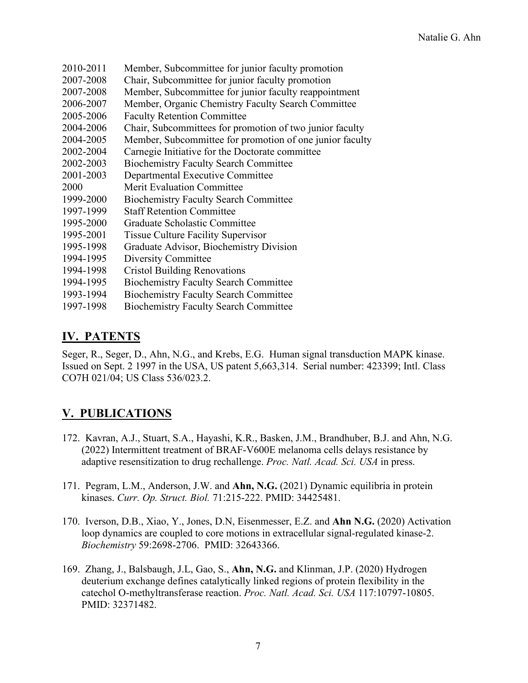| 2010-2011 | Member, Subcommittee for junior faculty promotion        |
|-----------|----------------------------------------------------------|
| 2007-2008 | Chair, Subcommittee for junior faculty promotion         |
| 2007-2008 | Member, Subcommittee for junior faculty reappointment    |
| 2006-2007 | Member, Organic Chemistry Faculty Search Committee       |
| 2005-2006 | <b>Faculty Retention Committee</b>                       |
| 2004-2006 | Chair, Subcommittees for promotion of two junior faculty |
| 2004-2005 | Member, Subcommittee for promotion of one junior faculty |
| 2002-2004 | Carnegie Initiative for the Doctorate committee          |
| 2002-2003 | <b>Biochemistry Faculty Search Committee</b>             |
| 2001-2003 | Departmental Executive Committee                         |
| 2000      | <b>Merit Evaluation Committee</b>                        |
| 1999-2000 | <b>Biochemistry Faculty Search Committee</b>             |
| 1997-1999 | <b>Staff Retention Committee</b>                         |
| 1995-2000 | Graduate Scholastic Committee                            |
| 1995-2001 | <b>Tissue Culture Facility Supervisor</b>                |
| 1995-1998 | Graduate Advisor, Biochemistry Division                  |
| 1994-1995 | Diversity Committee                                      |
| 1994-1998 | <b>Cristol Building Renovations</b>                      |
| 1994-1995 | <b>Biochemistry Faculty Search Committee</b>             |
| 1993-1994 | <b>Biochemistry Faculty Search Committee</b>             |
| 1997-1998 | <b>Biochemistry Faculty Search Committee</b>             |

## **IV. PATENTS**

Seger, R., Seger, D., Ahn, N.G., and Krebs, E.G. Human signal transduction MAPK kinase. Issued on Sept. 2 1997 in the USA, US patent 5,663,314. Serial number: 423399; Intl. Class CO7H 021/04; US Class 536/023.2.

## **V. PUBLICATIONS**

- 172. Kavran, A.J., Stuart, S.A., Hayashi, K.R., Basken, J.M., Brandhuber, B.J. and Ahn, N.G. (2022) Intermittent treatment of BRAF-V600E melanoma cells delays resistance by adaptive resensitization to drug rechallenge. *Proc. Natl. Acad. Sci. USA* in press.
- 171. Pegram, L.M., Anderson, J.W. and **Ahn, N.G.** (2021) Dynamic equilibria in protein kinases. *Curr. Op. Struct. Biol.* 71:215-222. PMID: 34425481.
- 170. Iverson, D.B., Xiao, Y., Jones, D.N, Eisenmesser, E.Z. and **Ahn N.G.** (2020) Activation loop dynamics are coupled to core motions in extracellular signal-regulated kinase-2. *Biochemistry* 59:2698-2706. PMID: 32643366.
- 169. Zhang, J., Balsbaugh, J.L, Gao, S., **Ahn, N.G.** and Klinman, J.P. (2020) Hydrogen deuterium exchange defines catalytically linked regions of protein flexibility in the catechol O-methyltransferase reaction. *Proc. Natl. Acad. Sci. USA* 117:10797-10805. PMID: 32371482.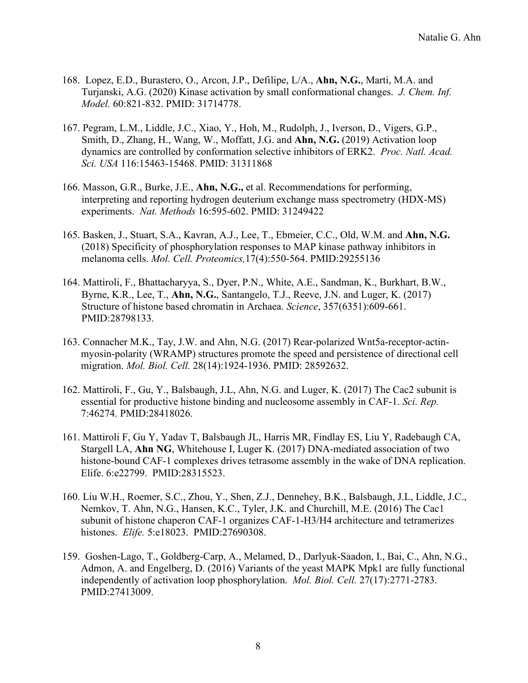- 168. Lopez, E.D., Burastero, O., Arcon, J.P., Defilipe, L/A., **Ahn, N.G.**, Marti, M.A. and Turjanski, A.G. (2020) Kinase activation by small conformational changes. *J. Chem. Inf. Model.* 60:821-832. PMID: 31714778.
- 167. Pegram, L.M., Liddle, J.C., Xiao, Y., Hoh, M., Rudolph, J., Iverson, D., Vigers, G.P., Smith, D., Zhang, H., Wang, W., Moffatt, J.G. and **Ahn, N.G.** (2019) Activation loop dynamics are controlled by conformation selective inhibitors of ERK2. *Proc. Natl. Acad. Sci. USA* 116:15463-15468. PMID: 31311868
- 166. Masson, G.R., Burke, J.E., **Ahn, N.G.,** et al. Recommendations for performing, interpreting and reporting hydrogen deuterium exchange mass spectrometry (HDX-MS) experiments. *Nat. Methods* 16:595-602. PMID: 31249422
- 165. Basken, J., Stuart, S.A., Kavran, A.J., Lee, T., Ebmeier, C.C., Old, W.M. and **Ahn, N.G.**  (2018) Specificity of phosphorylation responses to MAP kinase pathway inhibitors in melanoma cells. *Mol. Cell. Proteomics,*17(4):550-564. PMID:29255136
- 164. Mattiroli, F., Bhattacharyya, S., Dyer, P.N., White, A.E., Sandman, K., Burkhart, B.W., Byrne, K.R., Lee, T., **Ahn, N.G.**, Santangelo, T.J., Reeve, J.N. and Luger, K. (2017) Structure of histone based chromatin in Archaea. *Science*, 357(6351):609-661. PMID:28798133.
- 163. Connacher M.K., Tay, J.W. and Ahn, N.G. (2017) Rear-polarized Wnt5a-receptor-actinmyosin-polarity (WRAMP) structures promote the speed and persistence of directional cell migration. *Mol. Biol. Cell.* 28(14):1924-1936. PMID: 28592632.
- 162. Mattiroli, F., Gu, Y., Balsbaugh, J.L, Ahn, N.G. and Luger, K. (2017) The Cac2 subunit is essential for productive histone binding and nucleosome assembly in CAF-1. *Sci. Rep.*  7:46274. PMID:28418026.
- 161. Mattiroli F, Gu Y, Yadav T, Balsbaugh JL, Harris MR, Findlay ES, Liu Y, Radebaugh CA, Stargell LA, **Ahn NG**, Whitehouse I, Luger K. (2017) DNA-mediated association of two histone-bound CAF-1 complexes drives tetrasome assembly in the wake of DNA replication. Elife. 6:e22799. PMID:28315523.
- 160. Liu W.H., Roemer, S.C., Zhou, Y., Shen, Z.J., Dennehey, B.K., Balsbaugh, J.L, Liddle, J.C., Nemkov, T. Ahn, N.G., Hansen, K.C., Tyler, J.K. and Churchill, M.E. (2016) The Cac1 subunit of histone chaperon CAF-1 organizes CAF-1-H3/H4 architecture and tetramerizes histones. *Elife.* 5:e18023. PMID:27690308.
- 159. Goshen-Lago, T., Goldberg-Carp, A., Melamed, D., Darlyuk-Saadon, I., Bai, C., Ahn, N.G., Admon, A. and Engelberg, D. (2016) Variants of the yeast MAPK Mpk1 are fully functional independently of activation loop phosphorylation. *Mol. Biol. Cell.* 27(17):2771-2783. PMID:27413009.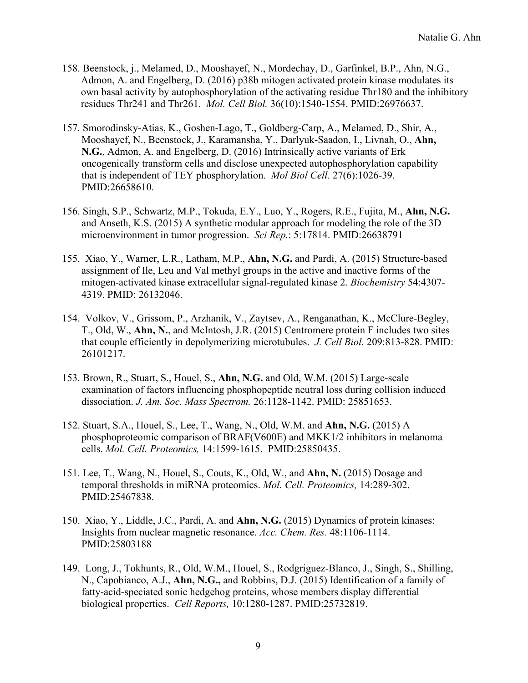- 158. Beenstock, j., Melamed, D., Mooshayef, N., Mordechay, D., Garfinkel, B.P., Ahn, N.G., Admon, A. and Engelberg, D. (2016) p38b mitogen activated protein kinase modulates its own basal activity by autophosphorylation of the activating residue Thr180 and the inhibitory residues Thr241 and Thr261. *Mol. Cell Biol.* 36(10):1540-1554. PMID:26976637.
- 157. Smorodinsky-Atias, K., Goshen-Lago, T., Goldberg-Carp, A., Melamed, D., Shir, A., Mooshayef, N., Beenstock, J., Karamansha, Y., Darlyuk-Saadon, I., Livnah, O., **Ahn, N.G.**, Admon, A. and Engelberg, D. (2016) [Intrinsically active variants of Erk](http://www.ncbi.nlm.nih.gov/pubmed/26658610)  [oncogenically transform cells and disclose unexpected autophosphorylation capability](http://www.ncbi.nlm.nih.gov/pubmed/26658610)  [that is independent of TEY phosphorylation.](http://www.ncbi.nlm.nih.gov/pubmed/26658610) *Mol Biol Cell.* 27(6):1026-39. PMID:26658610.
- 156. Singh, S.P., Schwartz, M.P., Tokuda, E.Y., Luo, Y., Rogers, R.E., Fujita, M., **Ahn, N.G.** and Anseth, K.S. (2015) [A synthetic modular approach for modeling the role of the 3D](http://www.ncbi.nlm.nih.gov/pubmed/26638791)  [microenvironment in tumor progression.](http://www.ncbi.nlm.nih.gov/pubmed/26638791) *Sci Rep.*: 5:17814. PMID:26638791
- 155. Xiao, Y., Warner, L.R., Latham, M.P., **Ahn, N.G.** and Pardi, A. (2015) Structure-based assignment of Ile, Leu and Val methyl groups in the active and inactive forms of the mitogen-activated kinase extracellular signal-regulated kinase 2. *Biochemistry* 54:4307- 4319. PMID: 26132046.
- 154. Volkov, V., Grissom, P., Arzhanik, V., Zaytsev, A., Renganathan, K., McClure-Begley, T., Old, W., **Ahn, N.**, and McIntosh, J.R. (2015) Centromere protein F includes two sites that couple efficiently in depolymerizing microtubules. *J. Cell Biol.* 209:813-828. PMID: 26101217.
- 153. Brown, R., Stuart, S., Houel, S., **Ahn, N.G.** and Old, W.M. (2015) Large-scale examination of factors influencing phosphopeptide neutral loss during collision induced dissociation. *J. Am. Soc. Mass Spectrom.* 26:1128-1142. PMID: 25851653.
- 152. Stuart, S.A., Houel, S., Lee, T., Wang, N., Old, W.M. and **Ahn, N.G.** (2015) A phosphoproteomic comparison of BRAF(V600E) and MKK1/2 inhibitors in melanoma cells. *Mol. Cell. Proteomics,* 14:1599-1615. PMID:25850435.
- 151. Lee, T., Wang, N., Houel, S., Couts, K., Old, W., and **Ahn, N.** (2015) Dosage and temporal thresholds in miRNA proteomics. *Mol. Cell. Proteomics,* 14:289-302. PMID:25467838.
- 150. Xiao, Y., Liddle, J.C., Pardi, A. and **Ahn, N.G.** (2015) Dynamics of protein kinases: Insights from nuclear magnetic resonance. *Acc. Chem. Res.* 48:1106-1114. PMID:25803188
- 149. Long, J., Tokhunts, R., Old, W.M., Houel, S., Rodgriguez-Blanco, J., Singh, S., Shilling, N., Capobianco, A.J., **Ahn, N.G.,** and Robbins, D.J. (2015) Identification of a family of fatty-acid-speciated sonic hedgehog proteins, whose members display differential biological properties. *Cell Reports,* 10:1280-1287. PMID:25732819.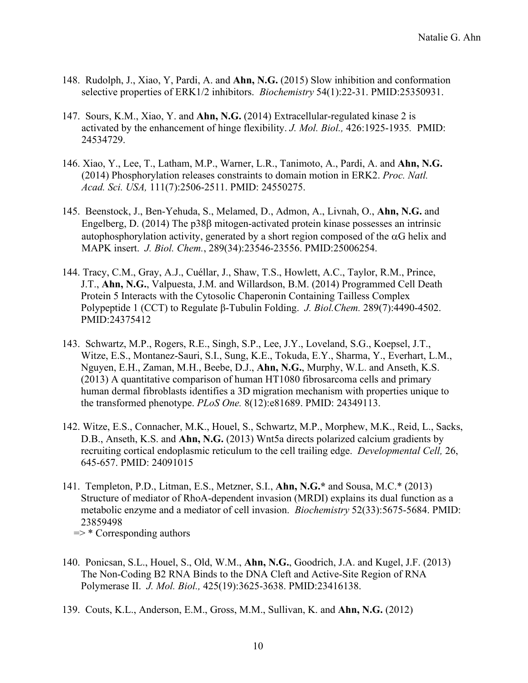- 148. Rudolph, J., Xiao, Y, Pardi, A. and **Ahn, N.G.** (2015) Slow inhibition and conformation selective properties of ERK1/2 inhibitors. *Biochemistry* 54(1):22-31. PMID:25350931.
- 147. Sours, K.M., Xiao, Y. and **Ahn, N.G.** (2014) Extracellular-regulated kinase 2 is activated by the enhancement of hinge flexibility. *J. Mol. Biol.,* 426:1925-1935*.* PMID: 24534729.
- 146. Xiao, Y., Lee, T., Latham, M.P., Warner, L.R., Tanimoto, A., Pardi, A. and **Ahn, N.G.**  (2014) Phosphorylation releases constraints to domain motion in ERK2. *Proc. Natl. Acad. Sci. USA,* 111(7):2506-2511. PMID: 24550275.
- 145. Beenstock, J., Ben-Yehuda, S., Melamed, D., Admon, A., Livnah, O., **Ahn, N.G.** and Engelberg, D. (2014) The p38β mitogen-activated protein kinase possesses an intrinsic autophosphorylation activity, generated by a short region composed of the  $\alpha$ G helix and MAPK insert. *J. Biol. Chem.*, 289(34):23546-23556. PMID:25006254.
- 144. Tracy, C.M., Gray, A.J., Cuéllar, J., Shaw, T.S., Howlett, A.C., Taylor, R.M., Prince, J.T., **Ahn, N.G.**, Valpuesta, J.M. and Willardson, B.M. (2014) [Programmed Cell Death](http://www.ncbi.nlm.nih.gov/pubmed/24375412)  [Protein 5 Interacts with the Cytosolic Chaperonin Containing Tailless Complex](http://www.ncbi.nlm.nih.gov/pubmed/24375412)  [Polypeptide 1 \(CCT\) to Regulate β](http://www.ncbi.nlm.nih.gov/pubmed/24375412)-Tubulin Folding. *J. Biol.Chem.* 289(7):4490-4502. PMID:24375412
- 143. Schwartz, M.P., Rogers, R.E., Singh, S.P., Lee, J.Y., Loveland, S.G., Koepsel, J.T., Witze, E.S., Montanez-Sauri, S.I., Sung, K.E., Tokuda, E.Y., Sharma, Y., Everhart, L.M., Nguyen, E.H., Zaman, M.H., Beebe, D.J., **Ahn, N.G.**, Murphy, W.L. and Anseth, K.S. (2013) A quantitative comparison of human HT1080 fibrosarcoma cells and primary human dermal fibroblasts identifies a 3D migration mechanism with properties unique to the transformed phenotype. *PLoS One.* 8(12):e81689. PMID: 24349113.
- 142. Witze, E.S., Connacher, M.K., Houel, S., Schwartz, M.P., Morphew, M.K., Reid, L., Sacks, D.B., Anseth, K.S. and **Ahn, N.G.** (2013) Wnt5a directs polarized calcium gradients by recruiting cortical endoplasmic reticulum to the cell trailing edge. *Developmental Cell,* 26, 645-657. PMID: 24091015
- 141. Templeton, P.D., Litman, E.S., Metzner, S.I., **Ahn, N.G.\*** and Sousa, M.C.\* (2013) [Structure of mediator of RhoA-dependent invasion \(MRDI\) explains its dual function as a](http://www.ncbi.nlm.nih.gov/pubmed/23859498)  [metabolic enzyme and a mediator of cell invasion.](http://www.ncbi.nlm.nih.gov/pubmed/23859498) *Biochemistry* 52(33):5675-5684. PMID: 23859498

 $\Rightarrow$  \* Corresponding authors

- 140. Ponicsan, S.L., Houel, S., Old, W.M., **Ahn, N.G.**, Goodrich, J.A. and Kugel, J.F. (2013) [The Non-Coding B2 RNA Binds to the DNA Cleft and Active-Site Region of RNA](http://www.ncbi.nlm.nih.gov/pubmed/23416138)  [Polymerase II.](http://www.ncbi.nlm.nih.gov/pubmed/23416138) *J. Mol. Biol.,* 425(19):3625-3638. PMID:23416138.
- 139. Couts, K.L., Anderson, E.M., Gross, M.M., Sullivan, K. and **Ahn, N.G.** (2012)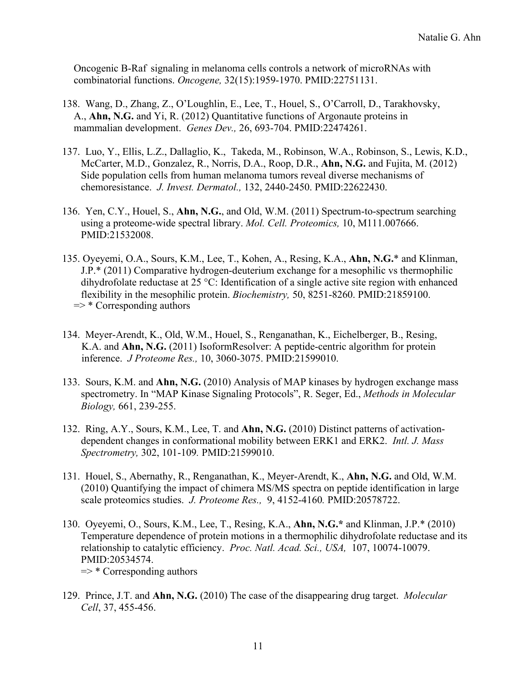Oncogenic B-Raf signaling in melanoma cells controls a network of microRNAs with combinatorial functions. *Oncogene,* 32(15):1959-1970. PMID:22751131.

- 138. Wang, D., Zhang, Z., O'Loughlin, E., Lee, T., Houel, S., O'Carroll, D., Tarakhovsky, A., **Ahn, N.G.** and Yi, R. (2012) Quantitative functions of Argonaute proteins in mammalian development. *Genes Dev.,* 26, 693-704. PMID:22474261.
- 137. Luo, Y., Ellis, L.Z., Dallaglio, K., Takeda, M., Robinson, W.A., Robinson, S., Lewis, K.D., McCarter, M.D., Gonzalez, R., Norris, D.A., Roop, D.R., **Ahn, N.G.** and Fujita, M. (2012) Side population cells from human melanoma tumors reveal diverse mechanisms of chemoresistance. *J. Invest. Dermatol.,* 132, 2440-2450. PMID:22622430.
- 136. Yen, C.Y., Houel, S., **Ahn, N.G.**, and Old, W.M. (2011) [Spectrum-to-spectrum searching](http://www.ncbi.nlm.nih.gov/pubmed/21532008)  [using a proteome-wide spectral library.](http://www.ncbi.nlm.nih.gov/pubmed/21532008) *Mol. Cell. Proteomics,* 10, M111.007666. PMID:21532008.
- 135. Oyeyemi, O.A., Sours, K.M., Lee, T., Kohen, A., Resing, K.A., **Ahn, N.G.**\* and Klinman, J.P.\* (2011) [Comparative hydrogen-deuterium exchange for a mesophilic vs thermophilic](http://www.ncbi.nlm.nih.gov/pubmed/21859100)  [dihydrofolate reductase at 25 °C: Identification of a single active site region with enhanced](http://www.ncbi.nlm.nih.gov/pubmed/21859100)  [flexibility in the mesophilic protein.](http://www.ncbi.nlm.nih.gov/pubmed/21859100) *Biochemistry,* 50, 8251-8260. PMID:21859100.  $\Rightarrow$  \* Corresponding authors
- 134. Meyer-Arendt, K., Old, W.M., Houel, S., Renganathan, K., Eichelberger, B., Resing, K.A. and **Ahn, N.G.** (2011) [IsoformResolver: A peptide-centric algorithm for protein](http://www.ncbi.nlm.nih.gov/pubmed/21599010)  [inference.](http://www.ncbi.nlm.nih.gov/pubmed/21599010) *J Proteome Res.,* 10, 3060-3075. PMID:21599010.
- 133. Sours, K.M. and **Ahn, N.G.** (2010) Analysis of MAP kinases by hydrogen exchange mass spectrometry. In "MAP Kinase Signaling Protocols", R. Seger, Ed., *Methods in Molecular Biology,* 661, 239-255.
- 132. Ring, A.Y., Sours, K.M., Lee, T. and **Ahn, N.G.** (2010) Distinct patterns of activationdependent changes in conformational mobility between ERK1 and ERK2. *Intl. J. Mass Spectrometry,* 302, 101-109*.* PMID:21599010.
- 131. Houel, S., Abernathy, R., Renganathan, K., Meyer-Arendt, K., **Ahn, N.G.** and Old, W.M. (2010) Quantifying the impact of chimera MS/MS spectra on peptide identification in large scale proteomics studies. *J. Proteome Res.,* 9, 4152-4160*.* PMID:20578722.
- 130. Oyeyemi, O., Sours, K.M., Lee, T., Resing, K.A., **Ahn, N.G.\*** and Klinman, J.P.\* (2010) Temperature dependence of protein motions in a thermophilic dihydrofolate reductase and its relationship to catalytic efficiency. *Proc. Natl. Acad. Sci., USA,* 107, 10074-10079. PMID:20534574.  $\Rightarrow$  \* Corresponding authors
- 129. Prince, J.T. and **Ahn, N.G.** (2010) [The case of the disappearing drug target.](http://www.ncbi.nlm.nih.gov/pubmed/20188664) *Molecular Cell*, 37, 455-456.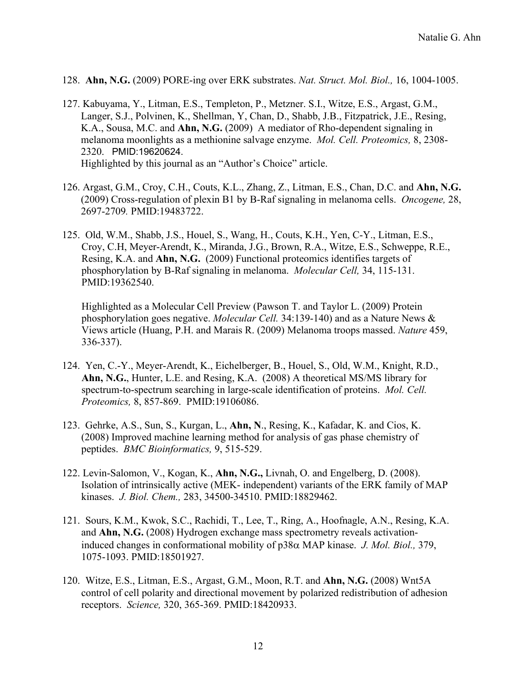- 128. **Ahn, N.G.** (2009) [PORE-ing over ERK substrates.](http://www.ncbi.nlm.nih.gov/pubmed/19809488?itool=EntrezSystem2.PEntrez.Pubmed.Pubmed_ResultsPanel.Pubmed_RVDocSum&ordinalpos=1) *Nat. Struct. Mol. Biol.,* 16, 1004-1005.
- 127. Kabuyama, Y., Litman, E.S., Templeton, P., Metzner. S.I., Witze, E.S., Argast, G.M., Langer, S.J., Polvinen, K., Shellman, Y, Chan, D., Shabb, J.B., Fitzpatrick, J.E., Resing, K.A., Sousa, M.C. and **Ahn, N.G.** (2009) A mediator of Rho-dependent signaling in melanoma moonlights as a methionine salvage enzyme. *Mol. Cell. Proteomics,* 8, 2308- 2320. PMID:19620624. Highlighted by this journal as an "Author's Choice" article.
- 126. Argast, G.M., Croy, C.H., Couts, K.L., Zhang, Z., Litman, E.S., Chan, D.C. and **Ahn, N.G.** (2009) Cross-regulation of plexin B1 by B-Raf signaling in melanoma cells. *Oncogene,* 28, 2697-2709*.* PMID:19483722.
- 125. Old, W.M., Shabb, J.S., Houel, S., Wang, H., Couts, K.H., Yen, C-Y., Litman, E.S., Croy, C.H, Meyer-Arendt, K., Miranda, J.G., Brown, R.A., Witze, E.S., Schweppe, R.E., Resing, K.A. and **Ahn, N.G.** (2009) Functional proteomics identifies targets of phosphorylation by B-Raf signaling in melanoma. *Molecular Cell,* 34, 115-131. PMID:19362540.

Highlighted as a Molecular Cell Preview (Pawson T. and Taylor L. (2009) Protein phosphorylation goes negative. *Molecular Cell.* 34:139-140) and as a Nature News & Views article (Huang, P.H. and Marais R. (2009) Melanoma troops massed. *Nature* 459, 336-337).

- 124. Yen, C.-Y., Meyer-Arendt, K., Eichelberger, B., Houel, S., Old, W.M., Knight, R.D., **Ahn, N.G.**, Hunter, L.E. and Resing, K.A. (2008) A theoretical MS/MS library for spectrum-to-spectrum searching in large-scale identification of proteins. *Mol. Cell. Proteomics,* 8, 857-869. PMID:19106086.
- 123. Gehrke, A.S., Sun, S., Kurgan, L., **Ahn, N**., Resing, K., Kafadar, K. and Cios, K. (2008) Improved machine learning method for analysis of gas phase chemistry of peptides. *BMC Bioinformatics,* 9, 515-529.
- 122. [Levin-Salomon, V.](http://www.ncbi.nlm.nih.gov/sites/entrez?Db=pubmed&Cmd=Search&Term=%22Levin-Salomon%20V%22%5BAuthor%5D&itool=EntrezSystem2.PEntrez.Pubmed.Pubmed_ResultsPanel.Pubmed_DiscoveryPanel.Pubmed_RVAbstractPlus), [Kogan,](http://www.ncbi.nlm.nih.gov/sites/entrez?Db=pubmed&Cmd=Search&Term=%22Kogan%20K%22%5BAuthor%5D&itool=EntrezSystem2.PEntrez.Pubmed.Pubmed_ResultsPanel.Pubmed_DiscoveryPanel.Pubmed_RVAbstractPlus) K., **[Ahn, N.G.](http://www.ncbi.nlm.nih.gov/sites/entrez?Db=pubmed&Cmd=Search&Term=%22Ahn%20NG%22%5BAuthor%5D&itool=EntrezSystem2.PEntrez.Pubmed.Pubmed_ResultsPanel.Pubmed_DiscoveryPanel.Pubmed_RVAbstractPlus),** [Livnah,](http://www.ncbi.nlm.nih.gov/sites/entrez?Db=pubmed&Cmd=Search&Term=%22Livnah%20O%22%5BAuthor%5D&itool=EntrezSystem2.PEntrez.Pubmed.Pubmed_ResultsPanel.Pubmed_DiscoveryPanel.Pubmed_RVAbstractPlus) O. and [Engelberg,](http://www.ncbi.nlm.nih.gov/sites/entrez?Db=pubmed&Cmd=Search&Term=%22Engelberg%20D%22%5BAuthor%5D&itool=EntrezSystem2.PEntrez.Pubmed.Pubmed_ResultsPanel.Pubmed_DiscoveryPanel.Pubmed_RVAbstractPlus) D. (2008). Isolation of intrinsically active (MEK- independent) variants of the ERK family of MAP kinases. *J. Biol. Chem.,* 283, 34500-34510. PMID:18829462.
- 121. Sours, K.M., Kwok, S.C., Rachidi, T., Lee, T., Ring, A., Hoofnagle, A.N., Resing, K.A. and **Ahn, N.G.** (2008) Hydrogen exchange mass spectrometry reveals activationinduced changes in conformational mobility of p38α MAP kinase. *J. Mol. Biol.,* 379, 1075-1093. PMID:18501927.
- 120. Witze, E.S., Litman, E.S., Argast, G.M., Moon, R.T. and **Ahn, N.G.** (2008) Wnt5A control of cell polarity and directional movement by polarized redistribution of adhesion receptors. *Science,* 320, 365-369. PMID:18420933.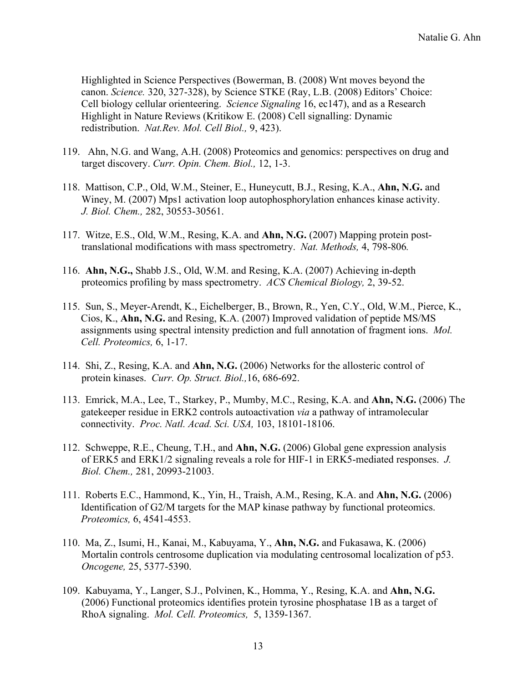Highlighted in Science Perspectives (Bowerman, B. (2008) Wnt moves beyond the canon. *Science.* 320, 327-328), by Science STKE (Ray, L.B. (2008) Editors' Choice: Cell biology cellular orienteering. *Science Signaling* 16, ec147), and as a Research Highlight in Nature Reviews (Kritikow E. (2008) Cell signalling: Dynamic redistribution. *Nat.Rev. Mol. Cell Biol.,* 9, 423).

- 119. Ahn, N.G. and Wang, A.H. (2008) Proteomics and genomics: perspectives on drug and target discovery. *Curr. Opin. Chem. Biol.,* 12, 1-3.
- 118. Mattison, C.P., Old, [W.M., Steiner,](http://www.ncbi.nlm.nih.gov/sites/entrez?Db=pubmed&Cmd=ShowDetailView&TermToSearch=17728254&ordinalpos=1&itool=EntrezSystem2.PEntrez.Pubmed.Pubmed_ResultsPanel.Pubmed_RVDocSum) E., Huneycutt, B.J., Resing, K.A., **Ahn, N.G.** and [Winey,](http://www.ncbi.nlm.nih.gov/sites/entrez?Db=pubmed&Cmd=ShowDetailView&TermToSearch=17728254&ordinalpos=1&itool=EntrezSystem2.PEntrez.Pubmed.Pubmed_ResultsPanel.Pubmed_RVDocSum) M. (2007) Mps1 activation loop autophosphorylation enhances kinase activity. *J. Biol. Chem.,* 282, 30553-30561.
- 117. Witze, E.S., Old, W.M., Resing, K.A. and **Ahn, N.G.** (2007) Mapping protein posttranslational modifications with mass spectrometry. *Nat. Methods,* 4, 798-806*.*
- 116. **Ahn, N.G.,** Shabb J.S., Old, W.M. and Resing, K.A. (2007) Achieving in-depth proteomics profiling by mass spectrometry. *ACS Chemical Biology,* 2, 39-52.
- 115. Sun, S., Meyer-Arendt, K., Eichelberger, B., Brown, R., Yen, C.Y., Old, W.M., Pierce, K., Cios, K., **Ahn, N.G.** and Resing, K.A. (2007) Improved validation of peptide MS/MS assignments using spectral intensity prediction and full annotation of fragment ions. *Mol. Cell. Proteomics,* 6, 1-17.
- 114. Shi, Z., Resing, K.A. and **Ahn, N.G.** (2006) Networks for the allosteric control of protein kinases. *Curr. Op. Struct. Biol.,*16, 686-692.
- 113. Emrick, M.A., Lee, T., Starkey, P., Mumby, M.C., Resing, K.A. and **Ahn, N.G.** (2006) The gatekeeper residue in ERK2 controls autoactivation *via* a pathway of intramolecular connectivity. *Proc. Natl. Acad. Sci. USA,* 103, 18101-18106.
- 112. Schweppe, R.E., Cheung, T.H., and **Ahn, N.G.** (2006) Global gene expression analysis of ERK5 and ERK1/2 signaling reveals a role for HIF-1 in ERK5-mediated responses. *J. Biol. Chem.,* 281, 20993-21003.
- 111. Roberts E.C., Hammond, K., Yin, H., Traish, A.M., Resing, K.A. and **Ahn, N.G.** (2006) Identification of G2/M targets for the MAP kinase pathway by functional proteomics. *Proteomics,* 6, 4541-4553.
- 110. Ma, Z., Isumi, H., Kanai, M., Kabuyama, Y., **Ahn, N.G.** and Fukasawa, K. (2006) Mortalin controls centrosome duplication via modulating centrosomal localization of p53. *Oncogene,* 25, 5377-5390.
- 109. Kabuyama, Y., Langer, S.J., Polvinen, K., Homma, Y., Resing, K.A. and **Ahn, N.G.**  (2006) Functional proteomics identifies protein tyrosine phosphatase 1B as a target of RhoA signaling. *Mol. Cell. Proteomics,* 5, 1359-1367.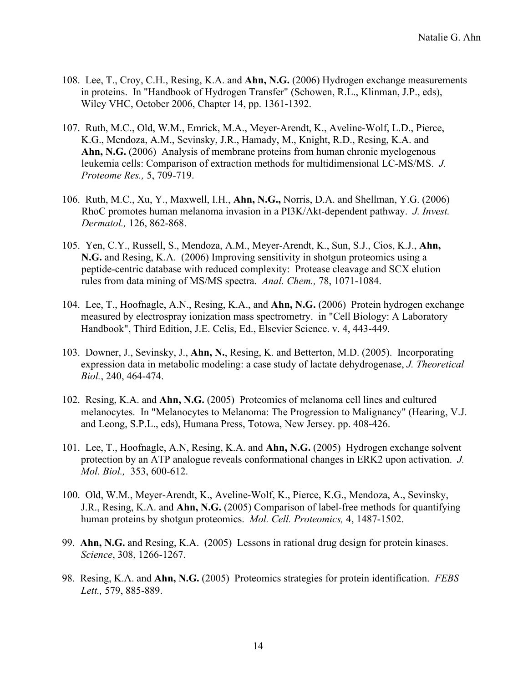- 108. Lee, T., Croy, C.H., Resing, K.A. and **Ahn, N.G.** (2006) Hydrogen exchange measurements in proteins. In "Handbook of Hydrogen Transfer" (Schowen, R.L., Klinman, J.P., eds), Wiley VHC, October 2006, Chapter 14, pp. 1361-1392.
- 107. Ruth, M.C., Old, W.M., Emrick, M.A., Meyer-Arendt, K., Aveline-Wolf, L.D., Pierce, K.G., Mendoza, A.M., Sevinsky, J.R., Hamady, M., Knight, R.D., Resing, K.A. and **Ahn, N.G.** (2006) Analysis of membrane proteins from human chronic myelogenous leukemia cells: Comparison of extraction methods for multidimensional LC-MS/MS. *J. Proteome Res.,* 5, 709-719.
- 106. Ruth, M.C., Xu, Y., Maxwell, I.H., **Ahn, N.G.,** Norris, D.A. [and Shellman,](http://www.ncbi.nlm.nih.gov/entrez/query.fcgi?cmd=Retrieve&db=pubmed&dopt=Abstract&list_uids=16470169&query_hl=6&itool=pubmed_docsum) Y.G. (2006) RhoC promotes human melanoma invasion in a PI3K/Akt-dependent pathway. *J. Invest. Dermatol.,* 126, 862-868.
- 105. Yen, C.Y., Russell, S., Mendoza, A.M., Meyer-Arendt, K., Sun, S.J., Cios, K.J., **Ahn, N.G.** and Resing, K.A. (2006) Improving sensitivity in shotgun proteomics using a peptide-centric database with reduced complexity: Protease cleavage and SCX elution rules from data mining of MS/MS spectra. *Anal. Chem.,* 78, 1071-1084.
- 104. Lee, T., Hoofnagle, A.N., Resing, K.A., and **Ahn, N.G.** (2006) Protein hydrogen exchange measured by electrospray ionization mass spectrometry. in "Cell Biology: A Laboratory Handbook", Third Edition, J.E. Celis, Ed., Elsevier Science. v. 4, 443-449.
- 103. Downer, J., Sevinsky, J., **Ahn, N.**, Resing, K. and Betterton, M.D. (2005). Incorporating expression data in metabolic modeling: a case study of lactate dehydrogenase, *J. Theoretical Biol.*, 240, 464-474.
- 102. Resing, K.A. and **Ahn, N.G.** (2005) Proteomics of melanoma cell lines and cultured melanocytes. In "Melanocytes to Melanoma: The Progression to Malignancy" (Hearing, V.J. and Leong, S.P.L., eds), Humana Press, Totowa, New Jersey. pp. 408-426.
- 101. Lee, T., Hoofnagle, A.N, Resing, K.A. and **Ahn, N.G.** (2005) Hydrogen exchange solvent protection by an ATP analogue reveals conformational changes in ERK2 upon activation. *J. Mol. Biol.,* 353, 600-612.
- 100. Old, W.M., Meyer-Arendt, K., Aveline-Wolf, K., Pierce, K.G., Mendoza, A., Sevinsky, J.R., Resing, K.A. and **Ahn, N.G.** (2005) Comparison of label-free methods for quantifying human proteins by shotgun proteomics. *Mol. Cell. Proteomics,* 4, 1487-1502.
- 99. **Ahn, N.G.** and Resing, K.A. (2005) Lessons in rational drug design for protein kinases. *Science*, 308, 1266-1267.
- 98. Resing, K.A. and **Ahn, N.G.** (2005) Proteomics strategies for protein identification. *FEBS Lett.,* 579, 885-889.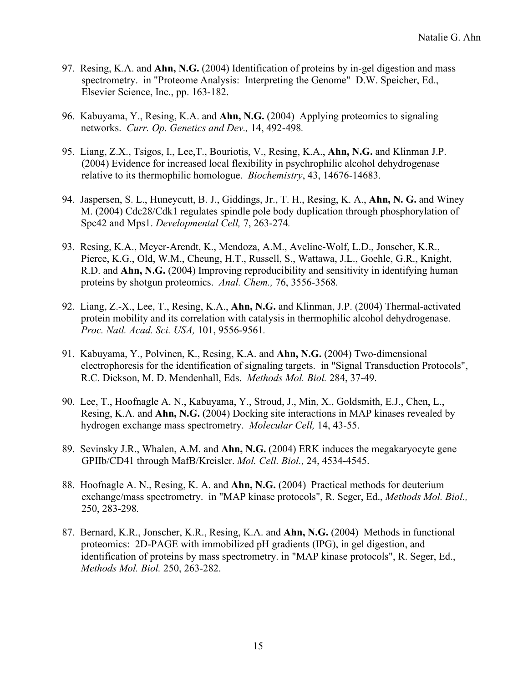- 97. Resing, K.A. and **Ahn, N.G.** (2004) Identification of proteins by in-gel digestion and mass spectrometry. in "Proteome Analysis: Interpreting the Genome" D.W. Speicher, Ed., Elsevier Science, Inc., pp. 163-182.
- 96. Kabuyama, Y., Resing, K.A. and **Ahn, N.G.** (2004) Applying proteomics to signaling networks. *Curr. Op. Genetics and Dev.,* 14, 492-498*.*
- 95. Liang, Z.X., Tsigos, I., Lee,T., Bouriotis, V., Resing, K.A., **Ahn, N.G.** and Klinman J.P. (2004) Evidence for increased local flexibility in psychrophilic alcohol dehydrogenase relative to its thermophilic homologue. *Biochemistry*, 43, 14676-14683.
- 94. Jaspersen, S. L., Huneycutt, B. J., Giddings, Jr., T. H., Resing, K. A., **Ahn, N. G.** and Winey M. (2004) Cdc28/Cdk1 regulates spindle pole body duplication through phosphorylation of Spc42 and Mps1. *Developmental Cell,* 7, 263-274*.*
- 93. Resing, K.A., Meyer-Arendt, K., Mendoza, A.M., Aveline-Wolf, L.D., Jonscher, K.R., Pierce, K.G., Old, W.M., Cheung, H.T., Russell, S., Wattawa, J.L., Goehle, G.R., Knight, R.D. and **Ahn, N.G.** (2004) Improving reproducibility and sensitivity in identifying human proteins by shotgun proteomics. *Anal. Chem.,* 76, 3556-3568*.*
- 92. Liang, Z.-X., Lee, T., Resing, K.A., **Ahn, N.G.** and Klinman, J.P. (2004) Thermal-activated protein mobility and its correlation with catalysis in thermophilic alcohol dehydrogenase. *Proc. Natl. Acad. Sci. USA,* 101, 9556-9561*.*
- 91. Kabuyama, Y., Polvinen, K., Resing, K.A. and **Ahn, N.G.** (2004) Two-dimensional electrophoresis for the identification of signaling targets. in "Signal Transduction Protocols", R.C. Dickson, M. D. Mendenhall, Eds. *Methods Mol. Biol.* 284, 37-49.
- 90. Lee, T., Hoofnagle A. N., Kabuyama, Y., Stroud, J., Min, X., Goldsmith, E.J., Chen, L., Resing, K.A. and **Ahn, N.G.** (2004) Docking site interactions in MAP kinases revealed by hydrogen exchange mass spectrometry. *Molecular Cell,* 14, 43-55.
- 89. Sevinsky J.R., Whalen, A.M. and **Ahn, N.G.** (2004) ERK induces the megakaryocyte gene GPIIb/CD41 through MafB/Kreisler. *Mol. Cell. Biol.,* 24, 4534-4545.
- 88. Hoofnagle A. N., Resing, K. A. and **Ahn, N.G.** (2004) Practical methods for deuterium exchange/mass spectrometry. in "MAP kinase protocols", R. Seger, Ed., *Methods Mol. Biol.,* 250, 283-298*.*
- 87. Bernard, K.R., Jonscher, K.R., Resing, K.A. and **Ahn, N.G.** (2004) Methods in functional proteomics: 2D-PAGE with immobilized pH gradients (IPG), in gel digestion, and identification of proteins by mass spectrometry. in "MAP kinase protocols", R. Seger, Ed., *Methods Mol. Biol.* 250, 263-282.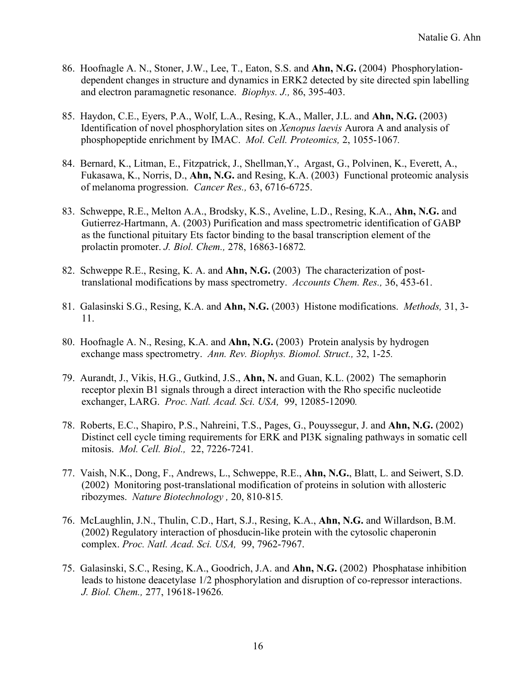- 86. Hoofnagle A. N., Stoner, J.W., Lee, T., Eaton, S.S. and **Ahn, N.G.** (2004) Phosphorylationdependent changes in structure and dynamics in ERK2 detected by site directed spin labelling and electron paramagnetic resonance. *Biophys. J.,* 86, 395-403.
- 85. Haydon, C.E., Eyers, P.A., Wolf, L.A., Resing, K.A., Maller, J.L. and **Ahn, N.G.** (2003) Identification of novel phosphorylation sites on *Xenopus laevis* Aurora A and analysis of phosphopeptide enrichment by IMAC. *Mol. Cell. Proteomics,* 2, 1055-1067*.*
- 84. Bernard, K., Litman, E., Fitzpatrick, J., Shellman,Y., Argast, G., Polvinen, K., Everett, A., Fukasawa, K., Norris, D., **Ahn, N.G.** and Resing, K.A. (2003) Functional proteomic analysis of melanoma progression. *Cancer Res.,* 63, 6716-6725.
- 83. Schweppe, R.E., Melton A.A., Brodsky, K.S., Aveline, L.D., Resing, K.A., **Ahn, N.G.** and Gutierrez-Hartmann, A. (2003) Purification and mass spectrometric identification of GABP as the functional pituitary Ets factor binding to the basal transcription element of the prolactin promoter. *J. Biol. Chem.,* 278, 16863-16872*.*
- 82. Schweppe R.E., Resing, K. A. and **Ahn, N.G.** (2003) The characterization of posttranslational modifications by mass spectrometry. *Accounts Chem. Res.,* 36, 453-61.
- 81. Galasinski S.G., Resing, K.A. and **Ahn, N.G.** (2003) Histone modifications. *Methods,* 31, 3- 11.
- 80. Hoofnagle A. N., Resing, K.A. and **Ahn, N.G.** (2003) Protein analysis by hydrogen exchange mass spectrometry. *Ann. Rev. Biophys. Biomol. Struct.,* 32, 1-25*.*
- 79. Aurandt, J., Vikis, H.G., Gutkind, J.S., **Ahn, N.** and Guan, K.L. (2002) The semaphorin receptor plexin B1 signals through a direct interaction with the Rho specific nucleotide exchanger, LARG. *Proc. Natl. Acad. Sci. USA,* 99, 12085-12090*.*
- 78. Roberts, E.C., Shapiro, P.S., Nahreini, T.S., Pages, G., Pouyssegur, J. and **Ahn, N.G.** (2002) Distinct cell cycle timing requirements for ERK and PI3K signaling pathways in somatic cell mitosis. *Mol. Cell. Biol.,* 22, 7226-7241*.*
- 77. Vaish, N.K., Dong, F., Andrews, L., Schweppe, R.E., **Ahn, N.G.**, Blatt, L. and Seiwert, S.D. (2002) Monitoring post-translational modification of proteins in solution with allosteric ribozymes. *Nature Biotechnology ,* 20, 810-815*.*
- 76. McLaughlin, J.N., Thulin, C.D., Hart, S.J., Resing, K.A., **Ahn, N.G.** and Willardson, B.M. (2002) Regulatory interaction of phosducin-like protein with the cytosolic chaperonin complex. *Proc. Natl. Acad. Sci. USA,* 99, 7962-7967.
- 75. Galasinski, S.C., Resing, K.A., Goodrich, J.A. and **Ahn, N.G.** (2002) Phosphatase inhibition leads to histone deacetylase 1/2 phosphorylation and disruption of co-repressor interactions. *J. Biol. Chem.,* 277, 19618-19626*.*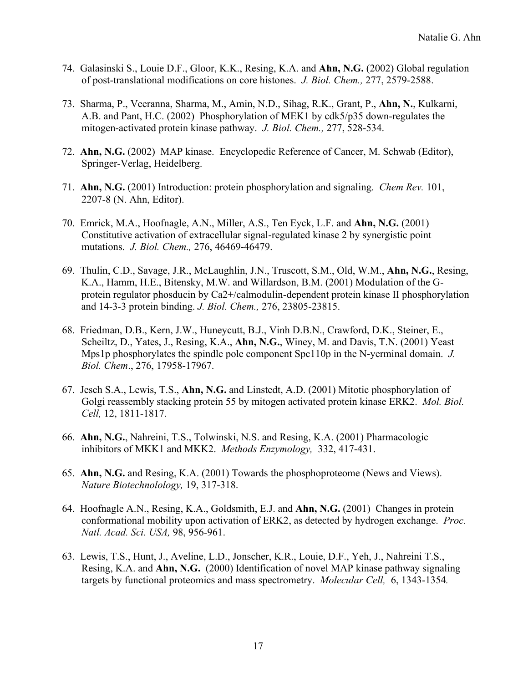- 74. Galasinski S., Louie D.F., Gloor, K.K., Resing, K.A. and **Ahn, N.G.** (2002) Global regulation of post-translational modifications on core histones. *J. Biol. Chem.,* 277, 2579-2588.
- 73. Sharma, P., Veeranna, Sharma, M., Amin, N.D., Sihag, R.K., Grant, P., **Ahn, N.**, Kulkarni, A.B. and Pant, H.C. (2002) Phosphorylation of MEK1 by cdk5/p35 down-regulates the mitogen-activated protein kinase pathway. *J. Biol. Chem.,* 277, 528-534.
- 72. **Ahn, N.G.** (2002) MAP kinase. Encyclopedic Reference of Cancer, M. Schwab (Editor), Springer-Verlag, Heidelberg.
- 71. **Ahn, N.G.** (2001) Introduction: protein phosphorylation and signaling. *Chem Rev.* 101, 2207-8 (N. Ahn, Editor).
- 70. Emrick, M.A., Hoofnagle, A.N., Miller, A.S., Ten Eyck, L.F. and **Ahn, N.G.** (2001) Constitutive activation of extracellular signal-regulated kinase 2 by synergistic point mutations. *J. Biol. Chem.,* 276, 46469-46479.
- 69. Thulin, C.D., Savage, J.R., McLaughlin, J.N., Truscott, S.M., Old, W.M., **Ahn, N.G.**, Resing, K.A., Hamm, H.E., Bitensky, M.W. and Willardson, B.M. (2001) Modulation of the Gprotein regulator phosducin by Ca2+/calmodulin-dependent protein kinase II phosphorylation and 14-3-3 protein binding. *J. Biol. Chem.,* 276, 23805-23815.
- 68. Friedman, D.B., Kern, J.W., Huneycutt, B.J., Vinh D.B.N., Crawford, D.K., Steiner, E., Scheiltz, D., Yates, J., Resing, K.A., **Ahn, N.G.**, Winey, M. and Davis, T.N. (2001) Yeast Mps1p phosphorylates the spindle pole component Spc110p in the N-yerminal domain. *J. Biol. Chem*., 276, 17958-17967.
- 67. Jesch S.A., Lewis, T.S., **Ahn, N.G.** and Linstedt, A.D. (2001) Mitotic phosphorylation of Golgi reassembly stacking protein 55 by mitogen activated protein kinase ERK2. *Mol. Biol. Cell,* 12, 1811-1817.
- 66. **Ahn, N.G.**, Nahreini, T.S., Tolwinski, N.S. and Resing, K.A. (2001) Pharmacologic inhibitors of MKK1 and MKK2. *Methods Enzymology,* 332, 417-431.
- 65. **Ahn, N.G.** and Resing, K.A. (2001) Towards the phosphoproteome (News and Views). *Nature Biotechnolology,* 19, 317-318.
- 64. Hoofnagle A.N., Resing, K.A., Goldsmith, E.J. and **Ahn, N.G.** (2001) Changes in protein conformational mobility upon activation of ERK2, as detected by hydrogen exchange. *Proc. Natl. Acad. Sci. USA,* 98, 956-961.
- 63. Lewis, T.S., Hunt, J., Aveline, L.D., Jonscher, K.R., Louie, D.F., Yeh, J., Nahreini T.S., Resing, K.A. and **Ahn, N.G.** (2000) Identification of novel MAP kinase pathway signaling targets by functional proteomics and mass spectrometry. *Molecular Cell,* 6, 1343-1354*.*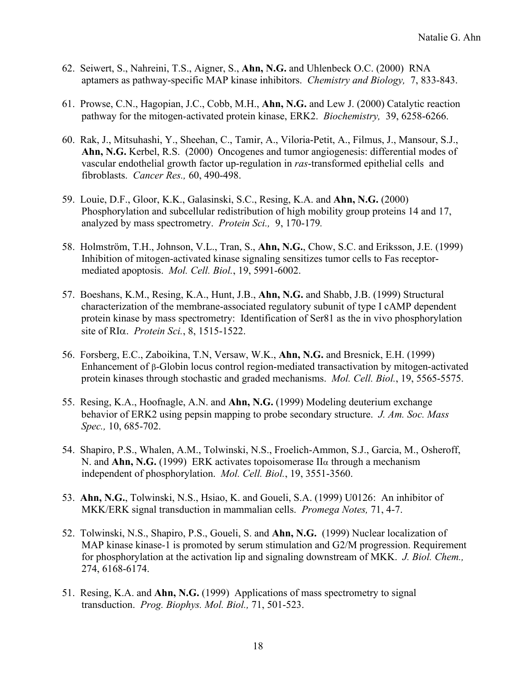- 62. Seiwert, S., Nahreini, T.S., Aigner, S., **Ahn, N.G.** and Uhlenbeck O.C. (2000) RNA aptamers as pathway-specific MAP kinase inhibitors. *Chemistry and Biology,* 7, 833-843.
- 61. Prowse, C.N., Hagopian, J.C., Cobb, M.H., **Ahn, N.G.** and Lew J. (2000) Catalytic reaction pathway for the mitogen-activated protein kinase, ERK2. *Biochemistry,* 39, 6258-6266.
- 60. Rak, J., Mitsuhashi, Y., Sheehan, C., Tamir, A., Viloria-Petit, A., Filmus, J., Mansour, S.J., **Ahn, N.G.** Kerbel, R.S. (2000) Oncogenes and tumor angiogenesis: differential modes of vascular endothelial growth factor up-regulation in *ras*-transformed epithelial cells and fibroblasts. *Cancer Res.,* 60, 490-498.
- 59. Louie, D.F., Gloor, K.K., Galasinski, S.C., Resing, K.A. and **Ahn, N.G.** (2000) Phosphorylation and subcellular redistribution of high mobility group proteins 14 and 17, analyzed by mass spectrometry. *Protein Sci.,* 9, 170-179*.*
- 58. Holmström, T.H., Johnson, V.L., Tran, S., **Ahn, N.G.**, Chow, S.C. and Eriksson, J.E. (1999) Inhibition of mitogen-activated kinase signaling sensitizes tumor cells to Fas receptormediated apoptosis. *Mol. Cell. Biol.*, 19, 5991-6002.
- 57. Boeshans, K.M., Resing, K.A., Hunt, J.B., **Ahn, N.G.** and Shabb, J.B. (1999) Structural characterization of the membrane-associated regulatory subunit of type I cAMP dependent protein kinase by mass spectrometry: Identification of Ser81 as the in vivo phosphorylation site of RIα. *Protein Sci.*, 8, 1515-1522.
- 56. Forsberg, E.C., Zaboikina, T.N, Versaw, W.K., **Ahn, N.G.** and Bresnick, E.H. (1999) Enhancement of β-Globin locus control region-mediated transactivation by mitogen-activated protein kinases through stochastic and graded mechanisms. *Mol. Cell. Biol.*, 19, 5565-5575.
- 55. Resing, K.A., Hoofnagle, A.N. and **Ahn, N.G.** (1999) Modeling deuterium exchange behavior of ERK2 using pepsin mapping to probe secondary structure. *J. Am. Soc. Mass Spec.,* 10, 685-702.
- 54. Shapiro, P.S., Whalen, A.M., Tolwinski, N.S., Froelich-Ammon, S.J., Garcia, M., Osheroff, N. and **Ahn, N.G.** (1999) ERK activates topoisomerase IIα through a mechanism independent of phosphorylation. *Mol. Cell. Biol.*, 19, 3551-3560.
- 53. **Ahn, N.G.**, Tolwinski, N.S., Hsiao, K. and Goueli, S.A. (1999) U0126: An inhibitor of MKK/ERK signal transduction in mammalian cells. *Promega Notes,* 71, 4-7.
- 52. Tolwinski, N.S., Shapiro, P.S., Goueli, S. and **Ahn, N.G.** (1999) Nuclear localization of MAP kinase kinase-1 is promoted by serum stimulation and G2/M progression. Requirement for phosphorylation at the activation lip and signaling downstream of MKK. *J. Biol. Chem.,* 274, 6168-6174.
- 51. Resing, K.A. and **Ahn, N.G.** (1999) Applications of mass spectrometry to signal transduction. *Prog. Biophys. Mol. Biol.,* 71, 501-523.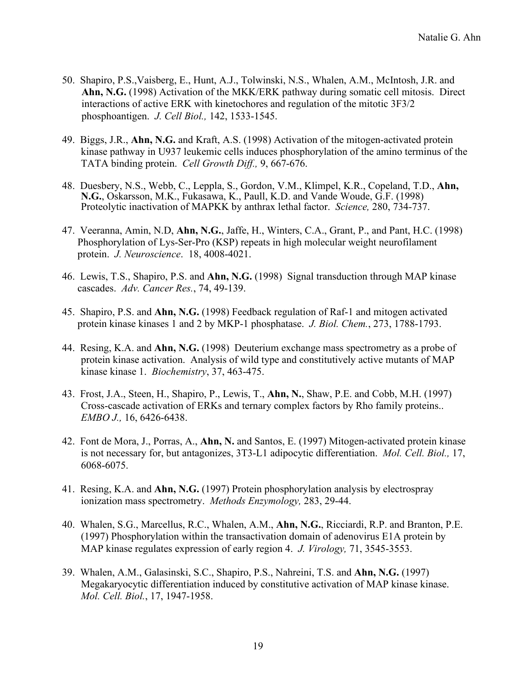- 50. Shapiro, P.S.,Vaisberg, E., Hunt, A.J., Tolwinski, N.S., Whalen, A.M., McIntosh, J.R. and **Ahn, N.G.** (1998) Activation of the MKK/ERK pathway during somatic cell mitosis. Direct interactions of active ERK with kinetochores and regulation of the mitotic 3F3/2 phosphoantigen. *J. Cell Biol.,* 142, 1533-1545.
- 49. Biggs, J.R., **Ahn, N.G.** and Kraft, A.S. (1998) Activation of the mitogen-activated protein kinase pathway in U937 leukemic cells induces phosphorylation of the amino terminus of the TATA binding protein. *Cell Growth Diff.,* 9, 667-676.
- 48. Duesbery, N.S., Webb, C., Leppla, S., Gordon, V.M., Klimpel, K.R., Copeland, T.D., **Ahn, N.G.**, Oskarsson, M.K., Fukasawa, K., Paull, K.D. and Vande Woude, G.F. (1998) Proteolytic inactivation of MAPKK by anthrax lethal factor. *Science,* 280, 734-737.
- 47. Veeranna, Amin, N.D, **Ahn, N.G.**, Jaffe, H., Winters, C.A., Grant, P., and Pant, H.C. (1998) Phosphorylation of Lys-Ser-Pro (KSP) repeats in high molecular weight neurofilament protein. *J. Neuroscience*. 18, 4008-4021.
- 46. Lewis, T.S., Shapiro, P.S. and **Ahn, N.G.** (1998) Signal transduction through MAP kinase cascades. *Adv. Cancer Res.*, 74, 49-139.
- 45. Shapiro, P.S. and **Ahn, N.G.** (1998) Feedback regulation of Raf-1 and mitogen activated protein kinase kinases 1 and 2 by MKP-1 phosphatase. *J. Biol. Chem.*, 273, 1788-1793.
- 44. Resing, K.A. and **Ahn, N.G.** (1998) Deuterium exchange mass spectrometry as a probe of protein kinase activation. Analysis of wild type and constitutively active mutants of MAP kinase kinase 1. *Biochemistry*, 37, 463-475.
- 43. Frost, J.A., Steen, H., Shapiro, P., Lewis, T., **Ahn, N.**, Shaw, P.E. and Cobb, M.H. (1997) Cross-cascade activation of ERKs and ternary complex factors by Rho family proteins.. *EMBO J.,* 16, 6426-6438.
- 42. Font de Mora, J., Porras, A., **Ahn, N.** and Santos, E. (1997) Mitogen-activated protein kinase is not necessary for, but antagonizes, 3T3-L1 adipocytic differentiation. *Mol. Cell. Biol.,* 17, 6068-6075.
- 41. Resing, K.A. and **Ahn, N.G.** (1997) Protein phosphorylation analysis by electrospray ionization mass spectrometry. *Methods Enzymology,* 283, 29-44.
- 40. Whalen, S.G., Marcellus, R.C., Whalen, A.M., **Ahn, N.G.**, Ricciardi, R.P. and Branton, P.E. (1997) Phosphorylation within the transactivation domain of adenovirus E1A protein by MAP kinase regulates expression of early region 4. *J. Virology,* 71, 3545-3553.
- 39. Whalen, A.M., Galasinski, S.C., Shapiro, P.S., Nahreini, T.S. and **Ahn, N.G.** (1997) Megakaryocytic differentiation induced by constitutive activation of MAP kinase kinase. *Mol. Cell. Biol.*, 17, 1947-1958.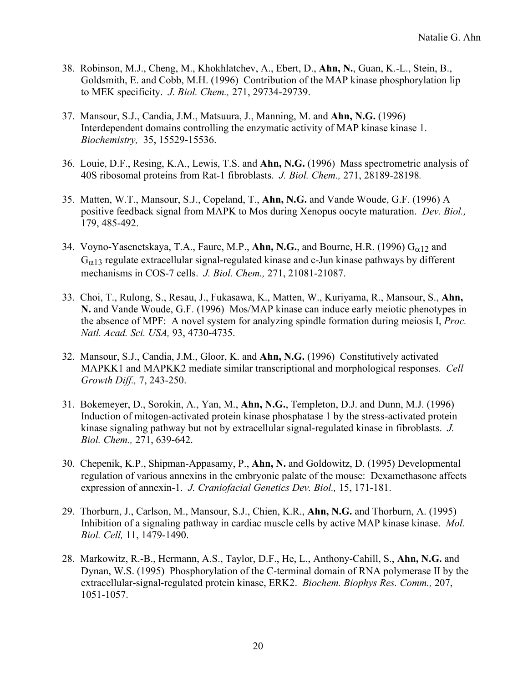- 38. Robinson, M.J., Cheng, M., Khokhlatchev, A., Ebert, D., **Ahn, N.**, Guan, K.-L., Stein, B., Goldsmith, E. and Cobb, M.H. (1996) Contribution of the MAP kinase phosphorylation lip to MEK specificity. *J. Biol. Chem.,* 271, 29734-29739.
- 37. Mansour, S.J., Candia, J.M., Matsuura, J., Manning, M. and **Ahn, N.G.** (1996) Interdependent domains controlling the enzymatic activity of MAP kinase kinase 1. *Biochemistry,* 35, 15529-15536.
- 36. Louie, D.F., Resing, K.A., Lewis, T.S. and **Ahn, N.G.** (1996) Mass spectrometric analysis of 40S ribosomal proteins from Rat-1 fibroblasts. *J. Biol. Chem.,* 271, 28189-28198*.*
- 35. Matten, W.T., Mansour, S.J., Copeland, T., **Ahn, N.G.** and Vande Woude, G.F. (1996) A positive feedback signal from MAPK to Mos during Xenopus oocyte maturation. *Dev. Biol.,* 179, 485-492.
- 34. Voyno-Yasenetskaya, T.A., Faure, M.P., Ahn, N.G., and Bourne, H.R. (1996)  $G_{\alpha 12}$  and  $G_{\alpha 13}$  regulate extracellular signal-regulated kinase and c-Jun kinase pathways by different mechanisms in COS-7 cells. *J. Biol. Chem.,* 271, 21081-21087.
- 33. Choi, T., Rulong, S., Resau, J., Fukasawa, K., Matten, W., Kuriyama, R., Mansour, S., **Ahn, N.** and Vande Woude, G.F. (1996) Mos/MAP kinase can induce early meiotic phenotypes in the absence of MPF: A novel system for analyzing spindle formation during meiosis I, *Proc. Natl. Acad. Sci. USA,* 93, 4730-4735.
- 32. Mansour, S.J., Candia, J.M., Gloor, K. and **Ahn, N.G.** (1996) Constitutively activated MAPKK1 and MAPKK2 mediate similar transcriptional and morphological responses. *Cell Growth Diff.,* 7, 243-250.
- 31. Bokemeyer, D., Sorokin, A., Yan, M., **Ahn, N.G.**, Templeton, D.J. and Dunn, M.J. (1996) Induction of mitogen-activated protein kinase phosphatase 1 by the stress-activated protein kinase signaling pathway but not by extracellular signal-regulated kinase in fibroblasts. *J. Biol. Chem.,* 271, 639-642.
- 30. Chepenik, K.P., Shipman-Appasamy, P., **Ahn, N.** and Goldowitz, D. (1995) Developmental regulation of various annexins in the embryonic palate of the mouse: Dexamethasone affects expression of annexin-1. *J. Craniofacial Genetics Dev. Biol.,* 15, 171-181.
- 29. Thorburn, J., Carlson, M., Mansour, S.J., Chien, K.R., **Ahn, N.G.** and Thorburn, A. (1995) Inhibition of a signaling pathway in cardiac muscle cells by active MAP kinase kinase. *Mol. Biol. Cell,* 11, 1479-1490.
- 28. Markowitz, R.-B., Hermann, A.S., Taylor, D.F., He, L., Anthony-Cahill, S., **Ahn, N.G.** and Dynan, W.S. (1995) Phosphorylation of the C-terminal domain of RNA polymerase II by the extracellular-signal-regulated protein kinase, ERK2. *Biochem. Biophys Res. Comm.,* 207, 1051-1057.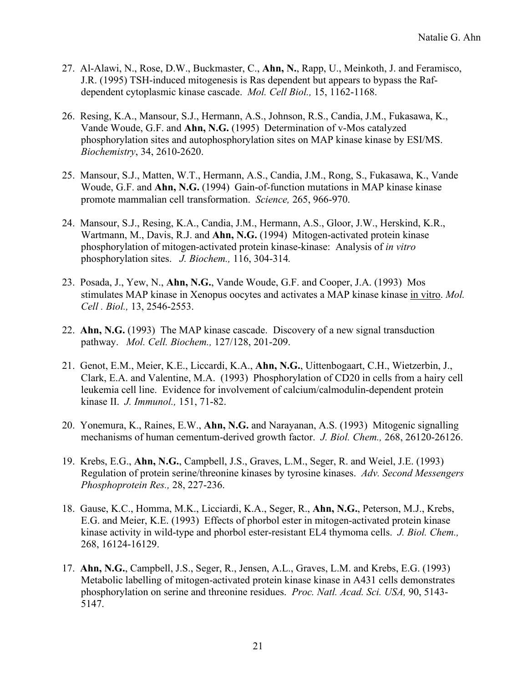- 27. Al-Alawi, N., Rose, D.W., Buckmaster, C., **Ahn, N.**, Rapp, U., Meinkoth, J. and Feramisco, J.R. (1995) TSH-induced mitogenesis is Ras dependent but appears to bypass the Rafdependent cytoplasmic kinase cascade. *Mol. Cell Biol.,* 15, 1162-1168.
- 26. Resing, K.A., Mansour, S.J., Hermann, A.S., Johnson, R.S., Candia, J.M., Fukasawa, K., Vande Woude, G.F. and **Ahn, N.G.** (1995) Determination of v-Mos catalyzed phosphorylation sites and autophosphorylation sites on MAP kinase kinase by ESI/MS. *Biochemistry*, 34, 2610-2620.
- 25. Mansour, S.J., Matten, W.T., Hermann, A.S., Candia, J.M., Rong, S., Fukasawa, K., Vande Woude, G.F. and **Ahn, N.G.** (1994) Gain-of-function mutations in MAP kinase kinase promote mammalian cell transformation. *Science,* 265, 966-970.
- 24. Mansour, S.J., Resing, K.A., Candia, J.M., Hermann, A.S., Gloor, J.W., Herskind, K.R., Wartmann, M., Davis, R.J. and **Ahn, N.G.** (1994) Mitogen-activated protein kinase phosphorylation of mitogen-activated protein kinase-kinase: Analysis of *in vitro* phosphorylation sites. *J. Biochem.,* 116, 304-314*.*
- 23. Posada, J., Yew, N., **Ahn, N.G.**, Vande Woude, G.F. and Cooper, J.A. (1993) Mos stimulates MAP kinase in Xenopus oocytes and activates a MAP kinase kinase in vitro. *Mol. Cell . Biol.,* 13, 2546-2553.
- 22. **Ahn, N.G.** (1993) The MAP kinase cascade. Discovery of a new signal transduction pathway. *Mol. Cell. Biochem.,* 127/128, 201-209.
- 21. Genot, E.M., Meier, K.E., Liccardi, K.A., **Ahn, N.G.**, Uittenbogaart, C.H., Wietzerbin, J., Clark, E.A. and Valentine, M.A. (1993) Phosphorylation of CD20 in cells from a hairy cell leukemia cell line. Evidence for involvement of calcium/calmodulin-dependent protein kinase II. *J. Immunol.,* 151, 71-82.
- 20. Yonemura, K., Raines, E.W., **Ahn, N.G.** and Narayanan, A.S. (1993) Mitogenic signalling mechanisms of human cementum-derived growth factor. *J. Biol. Chem.,* 268, 26120-26126.
- 19. Krebs, E.G., **Ahn, N.G.**, Campbell, J.S., Graves, L.M., Seger, R. and Weiel, J.E. (1993) Regulation of protein serine/threonine kinases by tyrosine kinases. *Adv. Second Messengers Phosphoprotein Res.,* 28, 227-236.
- 18. Gause, K.C., Homma, M.K., Licciardi, K.A., Seger, R., **Ahn, N.G.**, Peterson, M.J., Krebs, E.G. and Meier, K.E. (1993) Effects of phorbol ester in mitogen-activated protein kinase kinase activity in wild-type and phorbol ester-resistant EL4 thymoma cells. *J. Biol. Chem.,* 268, 16124-16129.
- 17. **Ahn, N.G.**, Campbell, J.S., Seger, R., Jensen, A.L., Graves, L.M. and Krebs, E.G. (1993) Metabolic labelling of mitogen-activated protein kinase kinase in A431 cells demonstrates phosphorylation on serine and threonine residues. *Proc. Natl. Acad. Sci. USA,* 90, 5143- 5147.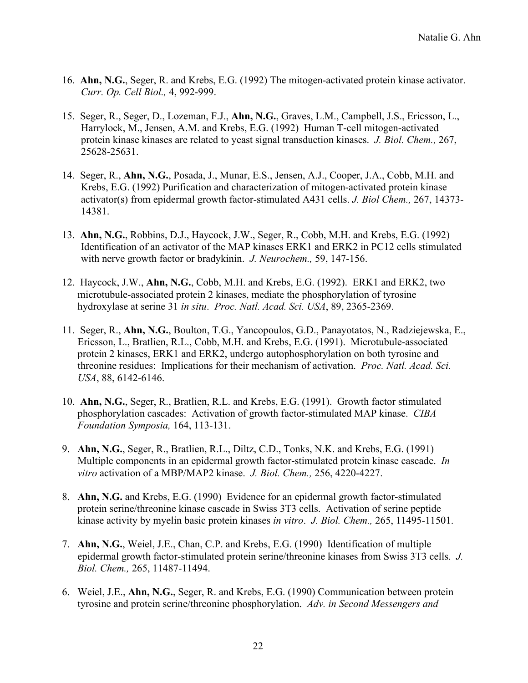- 16. **Ahn, N.G.**, Seger, R. and Krebs, E.G. (1992) The mitogen-activated protein kinase activator. *Curr. Op. Cell Biol.,* 4, 992-999.
- 15. Seger, R., Seger, D., Lozeman, F.J., **Ahn, N.G.**, Graves, L.M., Campbell, J.S., Ericsson, L., Harrylock, M., Jensen, A.M. and Krebs, E.G. (1992) Human T-cell mitogen-activated protein kinase kinases are related to yeast signal transduction kinases. *J. Biol. Chem.,* 267, 25628-25631.
- 14. Seger, R., **Ahn, N.G.**, Posada, J., Munar, E.S., Jensen, A.J., Cooper, J.A., Cobb, M.H. and Krebs, E.G. (1992) Purification and characterization of mitogen-activated protein kinase activator(s) from epidermal growth factor-stimulated A431 cells. *J. Biol Chem.,* 267, 14373- 14381.
- 13. **Ahn, N.G.**, Robbins, D.J., Haycock, J.W., Seger, R., Cobb, M.H. and Krebs, E.G. (1992) Identification of an activator of the MAP kinases ERK1 and ERK2 in PC12 cells stimulated with nerve growth factor or bradykinin. *J. Neurochem.,* 59, 147-156.
- 12. Haycock, J.W., **Ahn, N.G.**, Cobb, M.H. and Krebs, E.G. (1992). ERK1 and ERK2, two microtubule-associated protein 2 kinases, mediate the phosphorylation of tyrosine hydroxylase at serine 31 *in situ*. *Proc. Natl. Acad. Sci. USA*, 89, 2365-2369.
- 11. Seger, R., **Ahn, N.G.**, Boulton, T.G., Yancopoulos, G.D., Panayotatos, N., Radziejewska, E., Ericsson, L., Bratlien, R.L., Cobb, M.H. and Krebs, E.G. (1991). Microtubule-associated protein 2 kinases, ERK1 and ERK2, undergo autophosphorylation on both tyrosine and threonine residues: Implications for their mechanism of activation. *Proc. Natl. Acad. Sci. USA*, 88, 6142-6146.
- 10. **Ahn, N.G.**, Seger, R., Bratlien, R.L. and Krebs, E.G. (1991). Growth factor stimulated phosphorylation cascades: Activation of growth factor-stimulated MAP kinase. *CIBA Foundation Symposia,* 164, 113-131.
- 9. **Ahn, N.G.**, Seger, R., Bratlien, R.L., Diltz, C.D., Tonks, N.K. and Krebs, E.G. (1991) Multiple components in an epidermal growth factor-stimulated protein kinase cascade. *In vitro* activation of a MBP/MAP2 kinase. *J. Biol. Chem.,* 256, 4220-4227.
- 8. **Ahn, N.G.** and Krebs, E.G. (1990) Evidence for an epidermal growth factor-stimulated protein serine/threonine kinase cascade in Swiss 3T3 cells. Activation of serine peptide kinase activity by myelin basic protein kinases *in vitro*. *J. Biol. Chem.,* 265, 11495-11501.
- 7. **Ahn, N.G.**, Weiel, J.E., Chan, C.P. and Krebs, E.G. (1990) Identification of multiple epidermal growth factor-stimulated protein serine/threonine kinases from Swiss 3T3 cells. *J. Biol. Chem.,* 265, 11487-11494.
- 6. Weiel, J.E., **Ahn, N.G.**, Seger, R. and Krebs, E.G. (1990) Communication between protein tyrosine and protein serine/threonine phosphorylation. *Adv. in Second Messengers and*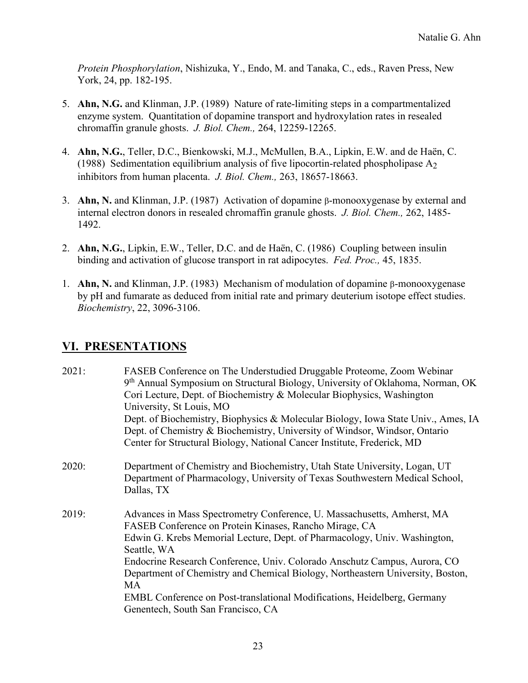*Protein Phosphorylation*, Nishizuka, Y., Endo, M. and Tanaka, C., eds., Raven Press, New York, 24, pp. 182-195.

- 5. **Ahn, N.G.** and Klinman, J.P. (1989) Nature of rate-limiting steps in a compartmentalized enzyme system. Quantitation of dopamine transport and hydroxylation rates in resealed chromaffin granule ghosts. *J. Biol. Chem.,* 264, 12259-12265.
- 4. **Ahn, N.G.**, Teller, D.C., Bienkowski, M.J., McMullen, B.A., Lipkin, E.W. and de Haën, C. (1988) Sedimentation equilibrium analysis of five lipocortin-related phospholipase  $A<sub>2</sub>$ inhibitors from human placenta. *J. Biol. Chem.,* 263, 18657-18663.
- 3. **Ahn, N.** and Klinman, J.P. (1987) Activation of dopamine β-monooxygenase by external and internal electron donors in resealed chromaffin granule ghosts. *J. Biol. Chem.,* 262, 1485- 1492.
- 2. **Ahn, N.G.**, Lipkin, E.W., Teller, D.C. and de Haën, C. (1986) Coupling between insulin binding and activation of glucose transport in rat adipocytes. *Fed. Proc.,* 45, 1835.
- 1. **Ahn, N.** and Klinman, J.P. (1983) Mechanism of modulation of dopamine β-monooxygenase by pH and fumarate as deduced from initial rate and primary deuterium isotope effect studies. *Biochemistry*, 22, 3096-3106.

### **VI. PRESENTATIONS**

| 2021: | FASEB Conference on The Understudied Druggable Proteome, Zoom Webinar<br>9th Annual Symposium on Structural Biology, University of Oklahoma, Norman, OK<br>Cori Lecture, Dept. of Biochemistry & Molecular Biophysics, Washington<br>University, St Louis, MO<br>Dept. of Biochemistry, Biophysics & Molecular Biology, Iowa State Univ., Ames, IA<br>Dept. of Chemistry & Biochemistry, University of Windsor, Windsor, Ontario<br>Center for Structural Biology, National Cancer Institute, Frederick, MD          |
|-------|----------------------------------------------------------------------------------------------------------------------------------------------------------------------------------------------------------------------------------------------------------------------------------------------------------------------------------------------------------------------------------------------------------------------------------------------------------------------------------------------------------------------|
| 2020: | Department of Chemistry and Biochemistry, Utah State University, Logan, UT<br>Department of Pharmacology, University of Texas Southwestern Medical School,<br>Dallas, TX                                                                                                                                                                                                                                                                                                                                             |
| 2019: | Advances in Mass Spectrometry Conference, U. Massachusetts, Amherst, MA<br>FASEB Conference on Protein Kinases, Rancho Mirage, CA<br>Edwin G. Krebs Memorial Lecture, Dept. of Pharmacology, Univ. Washington,<br>Seattle, WA<br>Endocrine Research Conference, Univ. Colorado Anschutz Campus, Aurora, CO<br>Department of Chemistry and Chemical Biology, Northeastern University, Boston,<br>MA<br>EMBL Conference on Post-translational Modifications, Heidelberg, Germany<br>Genentech, South San Francisco, CA |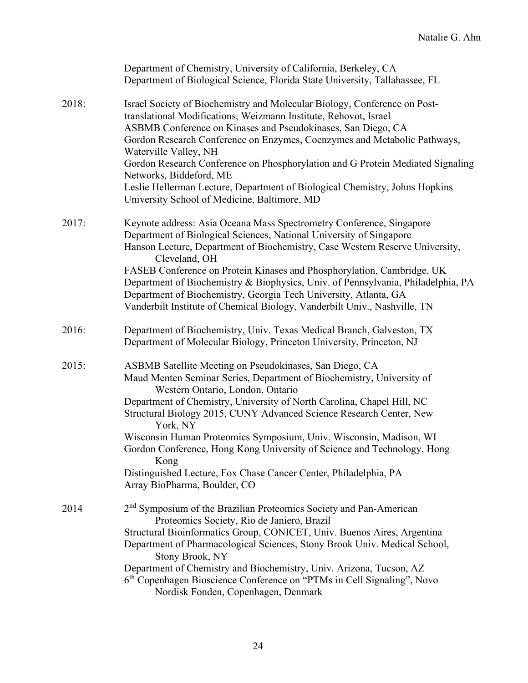|       | Department of Chemistry, University of California, Berkeley, CA<br>Department of Biological Science, Florida State University, Tallahassee, FL                                                                                                                                                                                                                                                                                                                                                                                                                                                 |
|-------|------------------------------------------------------------------------------------------------------------------------------------------------------------------------------------------------------------------------------------------------------------------------------------------------------------------------------------------------------------------------------------------------------------------------------------------------------------------------------------------------------------------------------------------------------------------------------------------------|
| 2018: | Israel Society of Biochemistry and Molecular Biology, Conference on Post-<br>translational Modifications, Weizmann Institute, Rehovot, Israel<br>ASBMB Conference on Kinases and Pseudokinases, San Diego, CA<br>Gordon Research Conference on Enzymes, Coenzymes and Metabolic Pathways,<br>Waterville Valley, NH<br>Gordon Research Conference on Phosphorylation and G Protein Mediated Signaling<br>Networks, Biddeford, ME<br>Leslie Hellerman Lecture, Department of Biological Chemistry, Johns Hopkins<br>University School of Medicine, Baltimore, MD                                 |
| 2017: | Keynote address: Asia Oceana Mass Spectrometry Conference, Singapore<br>Department of Biological Sciences, National University of Singapore<br>Hanson Lecture, Department of Biochemistry, Case Western Reserve University,<br>Cleveland, OH<br>FASEB Conference on Protein Kinases and Phosphorylation, Cambridge, UK<br>Department of Biochemistry & Biophysics, Univ. of Pennsylvania, Philadelphia, PA<br>Department of Biochemistry, Georgia Tech University, Atlanta, GA<br>Vanderbilt Institute of Chemical Biology, Vanderbilt Univ., Nashville, TN                                    |
| 2016: | Department of Biochemistry, Univ. Texas Medical Branch, Galveston, TX<br>Department of Molecular Biology, Princeton University, Princeton, NJ                                                                                                                                                                                                                                                                                                                                                                                                                                                  |
| 2015: | ASBMB Satellite Meeting on Pseudokinases, San Diego, CA<br>Maud Menten Seminar Series, Department of Biochemistry, University of<br>Western Ontario, London, Ontario<br>Department of Chemistry, University of North Carolina, Chapel Hill, NC<br>Structural Biology 2015, CUNY Advanced Science Research Center, New<br>York, NY<br>Wisconsin Human Proteomics Symposium, Univ. Wisconsin, Madison, WI<br>Gordon Conference, Hong Kong University of Science and Technology, Hong<br>Kong<br>Distinguished Lecture, Fox Chase Cancer Center, Philadelphia, PA<br>Array BioPharma, Boulder, CO |
| 2014  | 2 <sup>nd</sup> Symposium of the Brazilian Proteomics Society and Pan-American<br>Proteomics Society, Rio de Janiero, Brazil<br>Structural Bioinformatics Group, CONICET, Univ. Buenos Aires, Argentina<br>Department of Pharmacological Sciences, Stony Brook Univ. Medical School,<br>Stony Brook, NY<br>Department of Chemistry and Biochemistry, Univ. Arizona, Tucson, AZ<br>6 <sup>th</sup> Copenhagen Bioscience Conference on "PTMs in Cell Signaling", Novo<br>Nordisk Fonden, Copenhagen, Denmark                                                                                    |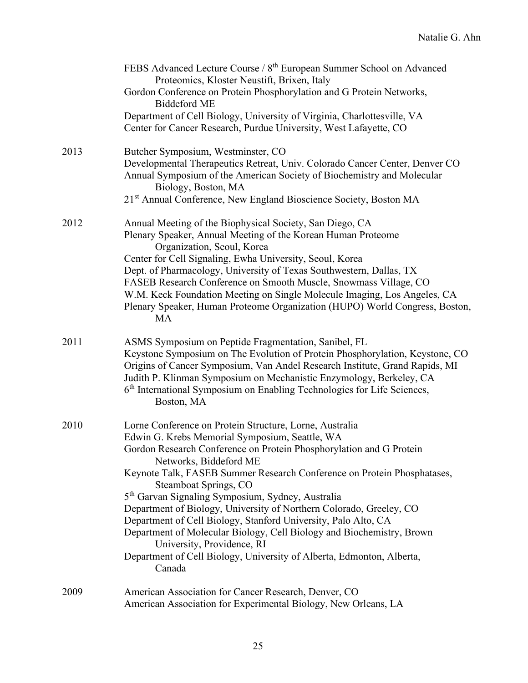|      | FEBS Advanced Lecture Course / 8 <sup>th</sup> European Summer School on Advanced<br>Proteomics, Kloster Neustift, Brixen, Italy<br>Gordon Conference on Protein Phosphorylation and G Protein Networks,<br><b>Biddeford ME</b><br>Department of Cell Biology, University of Virginia, Charlottesville, VA<br>Center for Cancer Research, Purdue University, West Lafayette, CO                                                                                                                                                                                                                                                                                                                                    |
|------|--------------------------------------------------------------------------------------------------------------------------------------------------------------------------------------------------------------------------------------------------------------------------------------------------------------------------------------------------------------------------------------------------------------------------------------------------------------------------------------------------------------------------------------------------------------------------------------------------------------------------------------------------------------------------------------------------------------------|
| 2013 | Butcher Symposium, Westminster, CO<br>Developmental Therapeutics Retreat, Univ. Colorado Cancer Center, Denver CO<br>Annual Symposium of the American Society of Biochemistry and Molecular<br>Biology, Boston, MA<br>21 <sup>st</sup> Annual Conference, New England Bioscience Society, Boston MA                                                                                                                                                                                                                                                                                                                                                                                                                |
| 2012 | Annual Meeting of the Biophysical Society, San Diego, CA<br>Plenary Speaker, Annual Meeting of the Korean Human Proteome<br>Organization, Seoul, Korea<br>Center for Cell Signaling, Ewha University, Seoul, Korea<br>Dept. of Pharmacology, University of Texas Southwestern, Dallas, TX<br>FASEB Research Conference on Smooth Muscle, Snowmass Village, CO<br>W.M. Keck Foundation Meeting on Single Molecule Imaging, Los Angeles, CA<br>Plenary Speaker, Human Proteome Organization (HUPO) World Congress, Boston,<br>MA                                                                                                                                                                                     |
| 2011 | ASMS Symposium on Peptide Fragmentation, Sanibel, FL<br>Keystone Symposium on The Evolution of Protein Phosphorylation, Keystone, CO<br>Origins of Cancer Symposium, Van Andel Research Institute, Grand Rapids, MI<br>Judith P. Klinman Symposium on Mechanistic Enzymology, Berkeley, CA<br>6 <sup>th</sup> International Symposium on Enabling Technologies for Life Sciences,<br>Boston, MA                                                                                                                                                                                                                                                                                                                    |
| 2010 | Lorne Conference on Protein Structure, Lorne, Australia<br>Edwin G. Krebs Memorial Symposium, Seattle, WA<br>Gordon Research Conference on Protein Phosphorylation and G Protein<br>Networks, Biddeford ME<br>Keynote Talk, FASEB Summer Research Conference on Protein Phosphatases,<br>Steamboat Springs, CO<br>5 <sup>th</sup> Garvan Signaling Symposium, Sydney, Australia<br>Department of Biology, University of Northern Colorado, Greeley, CO<br>Department of Cell Biology, Stanford University, Palo Alto, CA<br>Department of Molecular Biology, Cell Biology and Biochemistry, Brown<br>University, Providence, RI<br>Department of Cell Biology, University of Alberta, Edmonton, Alberta,<br>Canada |
| 2009 | American Association for Cancer Research, Denver, CO<br>American Association for Experimental Biology, New Orleans, LA                                                                                                                                                                                                                                                                                                                                                                                                                                                                                                                                                                                             |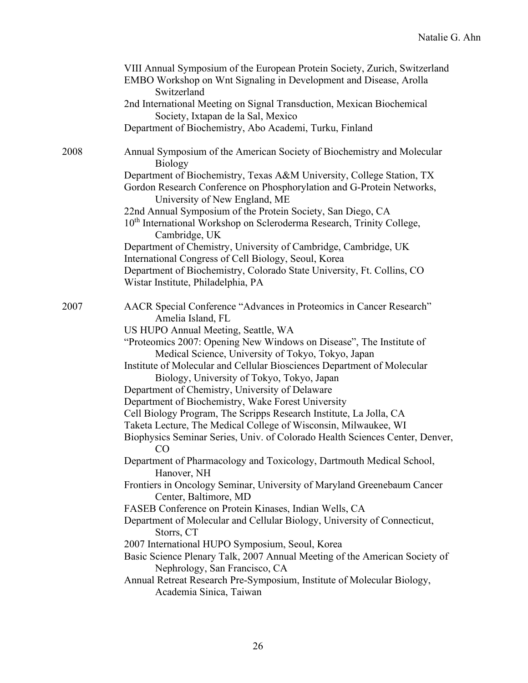|      | VIII Annual Symposium of the European Protein Society, Zurich, Switzerland<br>EMBO Workshop on Wnt Signaling in Development and Disease, Arolla<br>Switzerland                  |
|------|---------------------------------------------------------------------------------------------------------------------------------------------------------------------------------|
|      | 2nd International Meeting on Signal Transduction, Mexican Biochemical<br>Society, Ixtapan de la Sal, Mexico                                                                     |
|      | Department of Biochemistry, Abo Academi, Turku, Finland                                                                                                                         |
| 2008 | Annual Symposium of the American Society of Biochemistry and Molecular<br>Biology                                                                                               |
|      | Department of Biochemistry, Texas A&M University, College Station, TX<br>Gordon Research Conference on Phosphorylation and G-Protein Networks,<br>University of New England, ME |
|      | 22nd Annual Symposium of the Protein Society, San Diego, CA                                                                                                                     |
|      | 10 <sup>th</sup> International Workshop on Scleroderma Research, Trinity College,<br>Cambridge, UK                                                                              |
|      | Department of Chemistry, University of Cambridge, Cambridge, UK<br>International Congress of Cell Biology, Seoul, Korea                                                         |
|      | Department of Biochemistry, Colorado State University, Ft. Collins, CO<br>Wistar Institute, Philadelphia, PA                                                                    |
| 2007 | AACR Special Conference "Advances in Proteomics in Cancer Research"<br>Amelia Island, FL                                                                                        |
|      | US HUPO Annual Meeting, Seattle, WA                                                                                                                                             |
|      | "Proteomics 2007: Opening New Windows on Disease", The Institute of                                                                                                             |
|      | Medical Science, University of Tokyo, Tokyo, Japan                                                                                                                              |
|      | Institute of Molecular and Cellular Biosciences Department of Molecular<br>Biology, University of Tokyo, Tokyo, Japan                                                           |
|      | Department of Chemistry, University of Delaware                                                                                                                                 |
|      | Department of Biochemistry, Wake Forest University                                                                                                                              |
|      | Cell Biology Program, The Scripps Research Institute, La Jolla, CA                                                                                                              |
|      | Taketa Lecture, The Medical College of Wisconsin, Milwaukee, WI                                                                                                                 |
|      | Biophysics Seminar Series, Univ. of Colorado Health Sciences Center, Denver,<br>CO                                                                                              |
|      | Department of Pharmacology and Toxicology, Dartmouth Medical School,<br>Hanover, NH                                                                                             |
|      | Frontiers in Oncology Seminar, University of Maryland Greenebaum Cancer<br>Center, Baltimore, MD                                                                                |
|      | FASEB Conference on Protein Kinases, Indian Wells, CA                                                                                                                           |
|      | Department of Molecular and Cellular Biology, University of Connecticut,<br>Storrs, CT                                                                                          |
|      | 2007 International HUPO Symposium, Seoul, Korea                                                                                                                                 |
|      | Basic Science Plenary Talk, 2007 Annual Meeting of the American Society of<br>Nephrology, San Francisco, CA                                                                     |
|      | Annual Retreat Research Pre-Symposium, Institute of Molecular Biology,<br>Academia Sinica, Taiwan                                                                               |
|      |                                                                                                                                                                                 |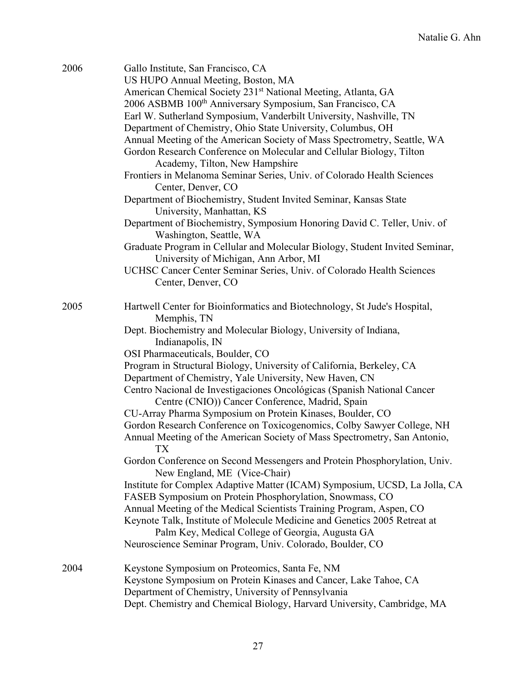| 2006 | Gallo Institute, San Francisco, CA                                           |
|------|------------------------------------------------------------------------------|
|      | US HUPO Annual Meeting, Boston, MA                                           |
|      | American Chemical Society 231 <sup>st</sup> National Meeting, Atlanta, GA    |
|      | 2006 ASBMB 100 <sup>th</sup> Anniversary Symposium, San Francisco, CA        |
|      | Earl W. Sutherland Symposium, Vanderbilt University, Nashville, TN           |
|      | Department of Chemistry, Ohio State University, Columbus, OH                 |
|      |                                                                              |
|      | Annual Meeting of the American Society of Mass Spectrometry, Seattle, WA     |
|      | Gordon Research Conference on Molecular and Cellular Biology, Tilton         |
|      | Academy, Tilton, New Hampshire                                               |
|      | Frontiers in Melanoma Seminar Series, Univ. of Colorado Health Sciences      |
|      | Center, Denver, CO                                                           |
|      | Department of Biochemistry, Student Invited Seminar, Kansas State            |
|      | University, Manhattan, KS                                                    |
|      | Department of Biochemistry, Symposium Honoring David C. Teller, Univ. of     |
|      | Washington, Seattle, WA                                                      |
|      | Graduate Program in Cellular and Molecular Biology, Student Invited Seminar, |
|      | University of Michigan, Ann Arbor, MI                                        |
|      | UCHSC Cancer Center Seminar Series, Univ. of Colorado Health Sciences        |
|      | Center, Denver, CO                                                           |
|      |                                                                              |
| 2005 | Hartwell Center for Bioinformatics and Biotechnology, St Jude's Hospital,    |
|      |                                                                              |
|      | Memphis, TN                                                                  |
|      | Dept. Biochemistry and Molecular Biology, University of Indiana,             |
|      | Indianapolis, IN                                                             |
|      | OSI Pharmaceuticals, Boulder, CO                                             |
|      | Program in Structural Biology, University of California, Berkeley, CA        |
|      | Department of Chemistry, Yale University, New Haven, CN                      |
|      | Centro Nacional de Investigaciones Oncológicas (Spanish National Cancer      |
|      | Centre (CNIO)) Cancer Conference, Madrid, Spain                              |
|      | CU-Array Pharma Symposium on Protein Kinases, Boulder, CO                    |
|      | Gordon Research Conference on Toxicogenomics, Colby Sawyer College, NH       |
|      | Annual Meeting of the American Society of Mass Spectrometry, San Antonio,    |
|      | TX                                                                           |
|      | Gordon Conference on Second Messengers and Protein Phosphorylation, Univ.    |
|      | New England, ME (Vice-Chair)                                                 |
|      | Institute for Complex Adaptive Matter (ICAM) Symposium, UCSD, La Jolla, CA   |
|      | FASEB Symposium on Protein Phosphorylation, Snowmass, CO                     |
|      | Annual Meeting of the Medical Scientists Training Program, Aspen, CO         |
|      | Keynote Talk, Institute of Molecule Medicine and Genetics 2005 Retreat at    |
|      | Palm Key, Medical College of Georgia, Augusta GA                             |
|      |                                                                              |
|      | Neuroscience Seminar Program, Univ. Colorado, Boulder, CO                    |
| 2004 |                                                                              |
|      | Keystone Symposium on Proteomics, Santa Fe, NM                               |
|      | Keystone Symposium on Protein Kinases and Cancer, Lake Tahoe, CA             |
|      | Department of Chemistry, University of Pennsylvania                          |
|      | Dept. Chemistry and Chemical Biology, Harvard University, Cambridge, MA      |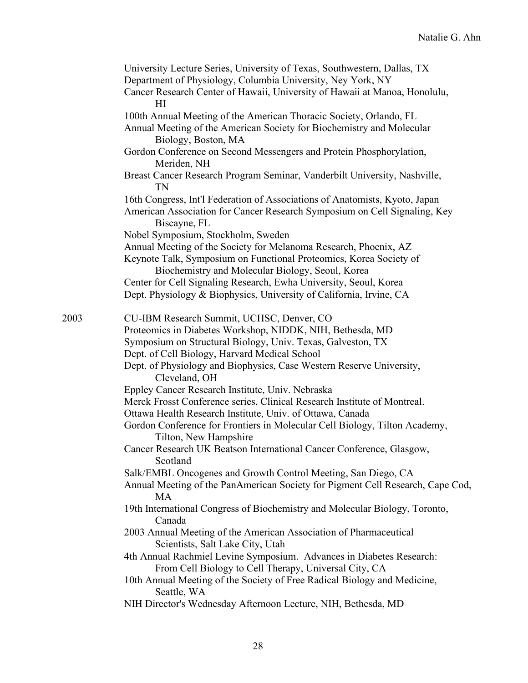|      | University Lecture Series, University of Texas, Southwestern, Dallas, TX<br>Department of Physiology, Columbia University, Ney York, NY<br>Cancer Research Center of Hawaii, University of Hawaii at Manoa, Honolulu,<br>H |
|------|----------------------------------------------------------------------------------------------------------------------------------------------------------------------------------------------------------------------------|
|      | 100th Annual Meeting of the American Thoracic Society, Orlando, FL<br>Annual Meeting of the American Society for Biochemistry and Molecular<br>Biology, Boston, MA                                                         |
|      | Gordon Conference on Second Messengers and Protein Phosphorylation,<br>Meriden, NH                                                                                                                                         |
|      | Breast Cancer Research Program Seminar, Vanderbilt University, Nashville,<br>TN                                                                                                                                            |
|      | 16th Congress, Int'l Federation of Associations of Anatomists, Kyoto, Japan<br>American Association for Cancer Research Symposium on Cell Signaling, Key<br>Biscayne, FL                                                   |
|      | Nobel Symposium, Stockholm, Sweden                                                                                                                                                                                         |
|      | Annual Meeting of the Society for Melanoma Research, Phoenix, AZ                                                                                                                                                           |
|      | Keynote Talk, Symposium on Functional Proteomics, Korea Society of                                                                                                                                                         |
|      | Biochemistry and Molecular Biology, Seoul, Korea                                                                                                                                                                           |
|      | Center for Cell Signaling Research, Ewha University, Seoul, Korea                                                                                                                                                          |
|      | Dept. Physiology & Biophysics, University of California, Irvine, CA                                                                                                                                                        |
| 2003 | CU-IBM Research Summit, UCHSC, Denver, CO                                                                                                                                                                                  |
|      | Proteomics in Diabetes Workshop, NIDDK, NIH, Bethesda, MD                                                                                                                                                                  |
|      | Symposium on Structural Biology, Univ. Texas, Galveston, TX                                                                                                                                                                |
|      | Dept. of Cell Biology, Harvard Medical School                                                                                                                                                                              |
|      | Dept. of Physiology and Biophysics, Case Western Reserve University,<br>Cleveland, OH                                                                                                                                      |
|      | Eppley Cancer Research Institute, Univ. Nebraska                                                                                                                                                                           |
|      | Merck Frosst Conference series, Clinical Research Institute of Montreal.                                                                                                                                                   |
|      | Ottawa Health Research Institute, Univ. of Ottawa, Canada                                                                                                                                                                  |
|      | Gordon Conference for Frontiers in Molecular Cell Biology, Tilton Academy,<br>Tilton, New Hampshire                                                                                                                        |
|      | Cancer Research UK Beatson International Cancer Conference, Glasgow,<br>Scotland                                                                                                                                           |
|      | Salk/EMBL Oncogenes and Growth Control Meeting, San Diego, CA                                                                                                                                                              |
|      | Annual Meeting of the PanAmerican Society for Pigment Cell Research, Cape Cod,<br><b>MA</b>                                                                                                                                |
|      | 19th International Congress of Biochemistry and Molecular Biology, Toronto,<br>Canada                                                                                                                                      |
|      | 2003 Annual Meeting of the American Association of Pharmaceutical<br>Scientists, Salt Lake City, Utah                                                                                                                      |
|      | 4th Annual Rachmiel Levine Symposium. Advances in Diabetes Research:<br>From Cell Biology to Cell Therapy, Universal City, CA                                                                                              |
|      | 10th Annual Meeting of the Society of Free Radical Biology and Medicine,<br>Seattle, WA                                                                                                                                    |
|      | NIH Director's Wednesday Afternoon Lecture, NIH, Bethesda, MD                                                                                                                                                              |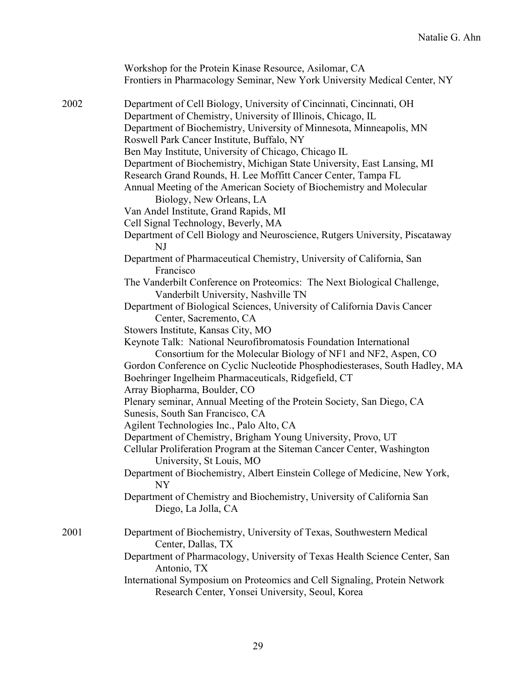|      | Workshop for the Protein Kinase Resource, Asilomar, CA<br>Frontiers in Pharmacology Seminar, New York University Medical Center, NY                                                                                                                                                                                                                                                                                                                                                                                                                                                                                                                                                                                                                                                                                                                                                                      |
|------|----------------------------------------------------------------------------------------------------------------------------------------------------------------------------------------------------------------------------------------------------------------------------------------------------------------------------------------------------------------------------------------------------------------------------------------------------------------------------------------------------------------------------------------------------------------------------------------------------------------------------------------------------------------------------------------------------------------------------------------------------------------------------------------------------------------------------------------------------------------------------------------------------------|
| 2002 | Department of Cell Biology, University of Cincinnati, Cincinnati, OH<br>Department of Chemistry, University of Illinois, Chicago, IL<br>Department of Biochemistry, University of Minnesota, Minneapolis, MN<br>Roswell Park Cancer Institute, Buffalo, NY<br>Ben May Institute, University of Chicago, Chicago IL<br>Department of Biochemistry, Michigan State University, East Lansing, MI<br>Research Grand Rounds, H. Lee Moffitt Cancer Center, Tampa FL<br>Annual Meeting of the American Society of Biochemistry and Molecular<br>Biology, New Orleans, LA<br>Van Andel Institute, Grand Rapids, MI<br>Cell Signal Technology, Beverly, MA<br>Department of Cell Biology and Neuroscience, Rutgers University, Piscataway<br>NJ<br>Department of Pharmaceutical Chemistry, University of California, San<br>Francisco<br>The Vanderbilt Conference on Proteomics: The Next Biological Challenge, |
|      | Vanderbilt University, Nashville TN<br>Department of Biological Sciences, University of California Davis Cancer<br>Center, Sacremento, CA<br>Stowers Institute, Kansas City, MO<br>Keynote Talk: National Neurofibromatosis Foundation International<br>Consortium for the Molecular Biology of NF1 and NF2, Aspen, CO<br>Gordon Conference on Cyclic Nucleotide Phosphodiesterases, South Hadley, MA<br>Boehringer Ingelheim Pharmaceuticals, Ridgefield, CT<br>Array Biopharma, Boulder, CO                                                                                                                                                                                                                                                                                                                                                                                                            |
|      | Plenary seminar, Annual Meeting of the Protein Society, San Diego, CA<br>Sunesis, South San Francisco, CA<br>Agilent Technologies Inc., Palo Alto, CA<br>Department of Chemistry, Brigham Young University, Provo, UT<br>Cellular Proliferation Program at the Siteman Cancer Center, Washington<br>University, St Louis, MO<br>Department of Biochemistry, Albert Einstein College of Medicine, New York,<br><b>NY</b><br>Department of Chemistry and Biochemistry, University of California San<br>Diego, La Jolla, CA                                                                                                                                                                                                                                                                                                                                                                                 |
| 2001 | Department of Biochemistry, University of Texas, Southwestern Medical<br>Center, Dallas, TX<br>Department of Pharmacology, University of Texas Health Science Center, San<br>Antonio, TX<br>International Symposium on Proteomics and Cell Signaling, Protein Network<br>Research Center, Yonsei University, Seoul, Korea                                                                                                                                                                                                                                                                                                                                                                                                                                                                                                                                                                                |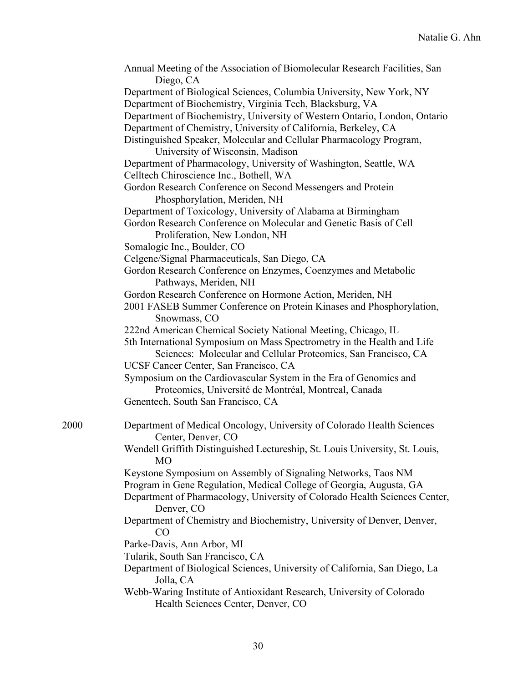|      | Annual Meeting of the Association of Biomolecular Research Facilities, San<br>Diego, CA                                                   |
|------|-------------------------------------------------------------------------------------------------------------------------------------------|
|      | Department of Biological Sciences, Columbia University, New York, NY                                                                      |
|      | Department of Biochemistry, Virginia Tech, Blacksburg, VA                                                                                 |
|      | Department of Biochemistry, University of Western Ontario, London, Ontario                                                                |
|      | Department of Chemistry, University of California, Berkeley, CA                                                                           |
|      | Distinguished Speaker, Molecular and Cellular Pharmacology Program,                                                                       |
|      | University of Wisconsin, Madison                                                                                                          |
|      | Department of Pharmacology, University of Washington, Seattle, WA                                                                         |
|      | Celltech Chiroscience Inc., Bothell, WA                                                                                                   |
|      | Gordon Research Conference on Second Messengers and Protein                                                                               |
|      | Phosphorylation, Meriden, NH                                                                                                              |
|      | Department of Toxicology, University of Alabama at Birmingham                                                                             |
|      | Gordon Research Conference on Molecular and Genetic Basis of Cell                                                                         |
|      | Proliferation, New London, NH                                                                                                             |
|      | Somalogic Inc., Boulder, CO                                                                                                               |
|      | Celgene/Signal Pharmaceuticals, San Diego, CA                                                                                             |
|      | Gordon Research Conference on Enzymes, Coenzymes and Metabolic                                                                            |
|      | Pathways, Meriden, NH                                                                                                                     |
|      | Gordon Research Conference on Hormone Action, Meriden, NH                                                                                 |
|      | 2001 FASEB Summer Conference on Protein Kinases and Phosphorylation,                                                                      |
|      | Snowmass, CO                                                                                                                              |
|      | 222nd American Chemical Society National Meeting, Chicago, IL                                                                             |
|      | 5th International Symposium on Mass Spectrometry in the Health and Life<br>Sciences: Molecular and Cellular Proteomics, San Francisco, CA |
|      | UCSF Cancer Center, San Francisco, CA                                                                                                     |
|      | Symposium on the Cardiovascular System in the Era of Genomics and                                                                         |
|      | Proteomics, Université de Montréal, Montreal, Canada                                                                                      |
|      | Genentech, South San Francisco, CA                                                                                                        |
|      |                                                                                                                                           |
| 2000 | Department of Medical Oncology, University of Colorado Health Sciences<br>Center, Denver, CO                                              |
|      | Wendell Griffith Distinguished Lectureship, St. Louis University, St. Louis,                                                              |
|      | <b>MO</b>                                                                                                                                 |
|      | Keystone Symposium on Assembly of Signaling Networks, Taos NM                                                                             |
|      | Program in Gene Regulation, Medical College of Georgia, Augusta, GA                                                                       |
|      | Department of Pharmacology, University of Colorado Health Sciences Center,<br>Denver, CO                                                  |
|      | Department of Chemistry and Biochemistry, University of Denver, Denver,                                                                   |
|      | CO                                                                                                                                        |
|      | Parke-Davis, Ann Arbor, MI                                                                                                                |
|      | Tularik, South San Francisco, CA                                                                                                          |
|      | Department of Biological Sciences, University of California, San Diego, La                                                                |
|      | Jolla, CA                                                                                                                                 |
|      | Webb-Waring Institute of Antioxidant Research, University of Colorado                                                                     |
|      | Health Sciences Center, Denver, CO                                                                                                        |
|      |                                                                                                                                           |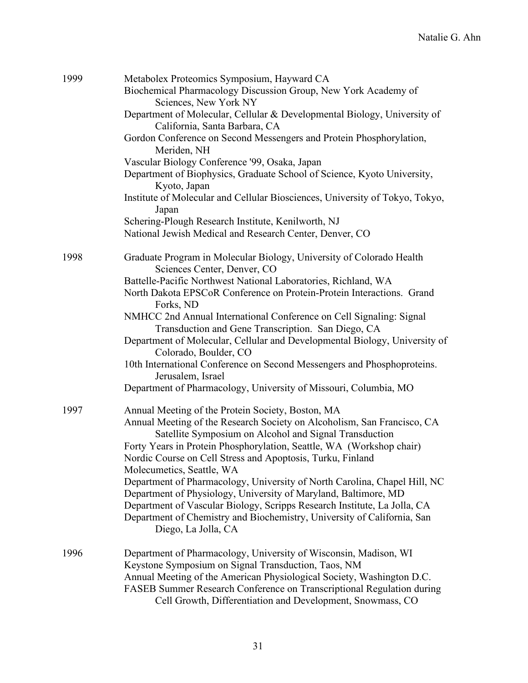| 1999 | Metabolex Proteomics Symposium, Hayward CA                                   |
|------|------------------------------------------------------------------------------|
|      | Biochemical Pharmacology Discussion Group, New York Academy of               |
|      | Sciences, New York NY                                                        |
|      | Department of Molecular, Cellular & Developmental Biology, University of     |
|      | California, Santa Barbara, CA                                                |
|      | Gordon Conference on Second Messengers and Protein Phosphorylation,          |
|      | Meriden, NH                                                                  |
|      | Vascular Biology Conference '99, Osaka, Japan                                |
|      | Department of Biophysics, Graduate School of Science, Kyoto University,      |
|      | Kyoto, Japan                                                                 |
|      | Institute of Molecular and Cellular Biosciences, University of Tokyo, Tokyo, |
|      |                                                                              |
|      | Japan                                                                        |
|      | Schering-Plough Research Institute, Kenilworth, NJ                           |
|      | National Jewish Medical and Research Center, Denver, CO                      |
|      |                                                                              |
| 1998 | Graduate Program in Molecular Biology, University of Colorado Health         |
|      | Sciences Center, Denver, CO                                                  |
|      | Battelle-Pacific Northwest National Laboratories, Richland, WA               |
|      | North Dakota EPSCoR Conference on Protein-Protein Interactions. Grand        |
|      | Forks, ND                                                                    |
|      | NMHCC 2nd Annual International Conference on Cell Signaling: Signal          |
|      | Transduction and Gene Transcription. San Diego, CA                           |
|      | Department of Molecular, Cellular and Developmental Biology, University of   |
|      | Colorado, Boulder, CO                                                        |
|      | 10th International Conference on Second Messengers and Phosphoproteins.      |
|      | Jerusalem, Israel                                                            |
|      | Department of Pharmacology, University of Missouri, Columbia, MO             |
|      |                                                                              |
| 1997 | Annual Meeting of the Protein Society, Boston, MA                            |
|      | Annual Meeting of the Research Society on Alcoholism, San Francisco, CA      |
|      | Satellite Symposium on Alcohol and Signal Transduction                       |
|      | Forty Years in Protein Phosphorylation, Seattle, WA (Workshop chair)         |
|      | Nordic Course on Cell Stress and Apoptosis, Turku, Finland                   |
|      | Molecumetics, Seattle, WA                                                    |
|      | Department of Pharmacology, University of North Carolina, Chapel Hill, NC    |
|      | Department of Physiology, University of Maryland, Baltimore, MD              |
|      | Department of Vascular Biology, Scripps Research Institute, La Jolla, CA     |
|      | Department of Chemistry and Biochemistry, University of California, San      |
|      | Diego, La Jolla, CA                                                          |
|      |                                                                              |
| 1996 | Department of Pharmacology, University of Wisconsin, Madison, WI             |
|      | Keystone Symposium on Signal Transduction, Taos, NM                          |
|      | Annual Meeting of the American Physiological Society, Washington D.C.        |
|      | FASEB Summer Research Conference on Transcriptional Regulation during        |
|      | Cell Growth, Differentiation and Development, Snowmass, CO                   |
|      |                                                                              |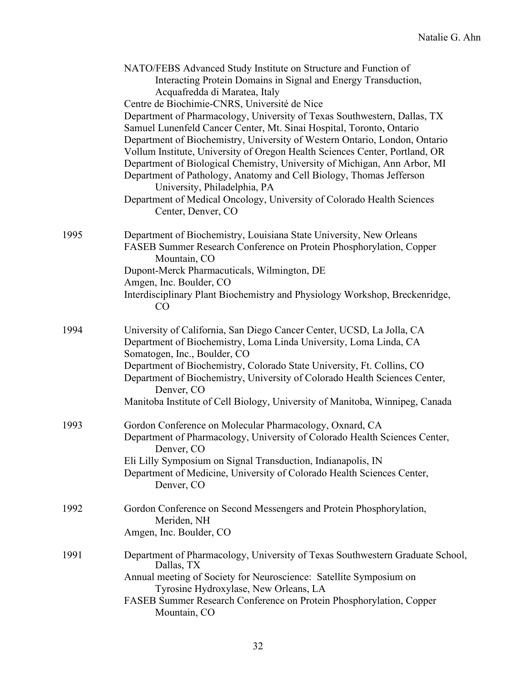|      | NATO/FEBS Advanced Study Institute on Structure and Function of<br>Interacting Protein Domains in Signal and Energy Transduction,<br>Acquafredda di Maratea, Italy<br>Centre de Biochimie-CNRS, Université de Nice<br>Department of Pharmacology, University of Texas Southwestern, Dallas, TX<br>Samuel Lunenfeld Cancer Center, Mt. Sinai Hospital, Toronto, Ontario<br>Department of Biochemistry, University of Western Ontario, London, Ontario<br>Vollum Institute, University of Oregon Health Sciences Center, Portland, OR<br>Department of Biological Chemistry, University of Michigan, Ann Arbor, MI<br>Department of Pathology, Anatomy and Cell Biology, Thomas Jefferson<br>University, Philadelphia, PA<br>Department of Medical Oncology, University of Colorado Health Sciences<br>Center, Denver, CO |
|------|-------------------------------------------------------------------------------------------------------------------------------------------------------------------------------------------------------------------------------------------------------------------------------------------------------------------------------------------------------------------------------------------------------------------------------------------------------------------------------------------------------------------------------------------------------------------------------------------------------------------------------------------------------------------------------------------------------------------------------------------------------------------------------------------------------------------------|
| 1995 | Department of Biochemistry, Louisiana State University, New Orleans<br>FASEB Summer Research Conference on Protein Phosphorylation, Copper<br>Mountain, CO<br>Dupont-Merck Pharmacuticals, Wilmington, DE<br>Amgen, Inc. Boulder, CO<br>Interdisciplinary Plant Biochemistry and Physiology Workshop, Breckenridge,<br>CO                                                                                                                                                                                                                                                                                                                                                                                                                                                                                               |
| 1994 | University of California, San Diego Cancer Center, UCSD, La Jolla, CA<br>Department of Biochemistry, Loma Linda University, Loma Linda, CA<br>Somatogen, Inc., Boulder, CO<br>Department of Biochemistry, Colorado State University, Ft. Collins, CO<br>Department of Biochemistry, University of Colorado Health Sciences Center,<br>Denver, CO<br>Manitoba Institute of Cell Biology, University of Manitoba, Winnipeg, Canada                                                                                                                                                                                                                                                                                                                                                                                        |
| 1993 | Gordon Conference on Molecular Pharmacology, Oxnard, CA<br>Department of Pharmacology, University of Colorado Health Sciences Center,<br>Denver, CO<br>Eli Lilly Symposium on Signal Transduction, Indianapolis, IN<br>Department of Medicine, University of Colorado Health Sciences Center,<br>Denver, CO                                                                                                                                                                                                                                                                                                                                                                                                                                                                                                             |
| 1992 | Gordon Conference on Second Messengers and Protein Phosphorylation,<br>Meriden, NH<br>Amgen, Inc. Boulder, CO                                                                                                                                                                                                                                                                                                                                                                                                                                                                                                                                                                                                                                                                                                           |
| 1991 | Department of Pharmacology, University of Texas Southwestern Graduate School,<br>Dallas, TX<br>Annual meeting of Society for Neuroscience: Satellite Symposium on<br>Tyrosine Hydroxylase, New Orleans, LA<br>FASEB Summer Research Conference on Protein Phosphorylation, Copper<br>Mountain, CO                                                                                                                                                                                                                                                                                                                                                                                                                                                                                                                       |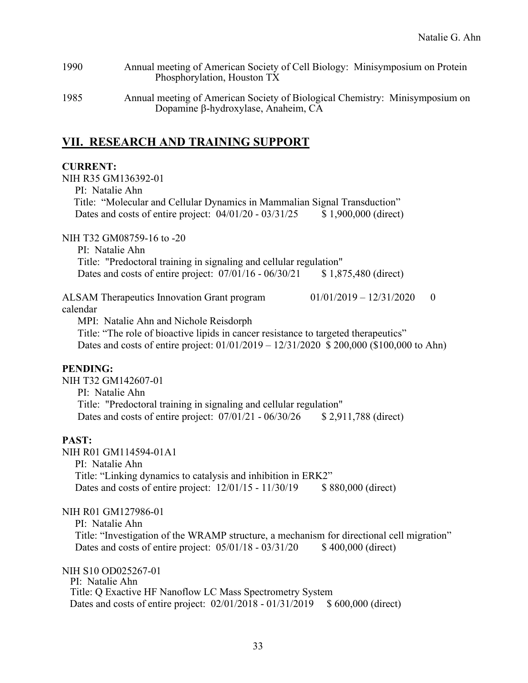| 1990 | Annual meeting of American Society of Cell Biology: Minisymposium on Protein |
|------|------------------------------------------------------------------------------|
|      | Phosphorylation, Houston TX                                                  |

1985 Annual meeting of American Society of Biological Chemistry: Minisymposium on Dopamine β-hydroxylase, Anaheim, CA

### **VII. RESEARCH AND TRAINING SUPPORT**

#### **CURRENT:**

NIH R35 GM136392-01 PI: Natalie Ahn Title: "Molecular and Cellular Dynamics in Mammalian Signal Transduction" Dates and costs of entire project:  $04/01/20 - 03/31/25$  \$ 1,900,000 (direct) NIH T32 GM08759-16 to -20 PI: Natalie Ahn Title: "Predoctoral training in signaling and cellular regulation" Dates and costs of entire project:  $07/01/16 - 06/30/21$  \$ 1,875,480 (direct) ALSAM Therapeutics Innovation Grant program  $01/01/2019 - 12/31/2020$  0 calendar MPI: Natalie Ahn and Nichole Reisdorph Title: "The role of bioactive lipids in cancer resistance to targeted therapeutics" Dates and costs of entire project: 01/01/2019 – 12/31/2020 \$ 200,000 (\$100,000 to Ahn) **PENDING:** NIH T32 GM142607-01 PI: Natalie Ahn Title: "Predoctoral training in signaling and cellular regulation" Dates and costs of entire project:  $07/01/21 - 06/30/26$  \$ 2,911,788 (direct) **PAST:** NIH R01 GM114594-01A1 PI: Natalie Ahn Title: "Linking dynamics to catalysis and inhibition in ERK2" Dates and costs of entire project:  $12/01/15 - 11/30/19$  \$ 880,000 (direct) NIH R01 GM127986-01 PI: Natalie Ahn Title: "Investigation of the WRAMP structure, a mechanism for directional cell migration" Dates and costs of entire project:  $05/01/18 - 03/31/20$  \$400,000 (direct) NIH S10 OD025267-01 PI: Natalie Ahn Title: Q Exactive HF Nanoflow LC Mass Spectrometry System Dates and costs of entire project:  $02/01/2018 - 01/31/2019$  \$ 600,000 (direct)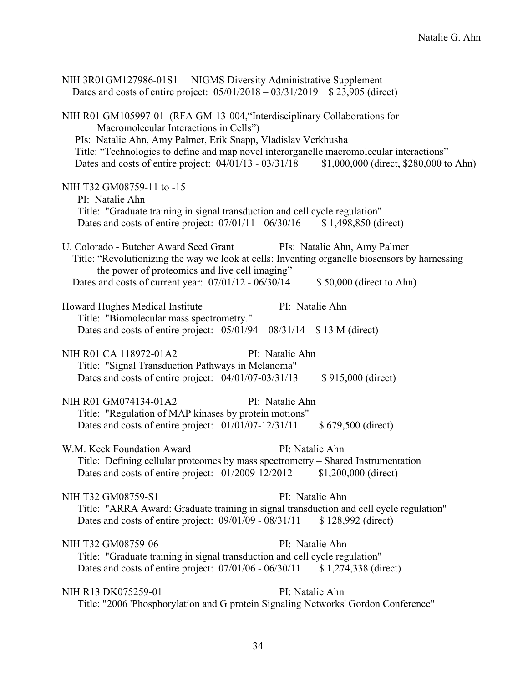| NIH 3R01GM127986-01S1 NIGMS Diversity Administrative Supplement<br>Dates and costs of entire project: $05/01/2018 - 03/31/2019$ \$23,905 (direct)                                                                                                                                |
|----------------------------------------------------------------------------------------------------------------------------------------------------------------------------------------------------------------------------------------------------------------------------------|
| NIH R01 GM105997-01 (RFA GM-13-004, "Interdisciplinary Collaborations for<br>Macromolecular Interactions in Cells")<br>PIs: Natalie Ahn, Amy Palmer, Erik Snapp, Vladislav Verkhusha<br>Title: "Technologies to define and map novel interorganelle macromolecular interactions" |
| Dates and costs of entire project: 04/01/13 - 03/31/18<br>\$1,000,000 (direct, \$280,000 to Ahn)                                                                                                                                                                                 |
| NIH T32 GM08759-11 to -15<br>PI: Natalie Ahn<br>Title: "Graduate training in signal transduction and cell cycle regulation"<br>Dates and costs of entire project: 07/01/11 - 06/30/16<br>$$1,498,850$ (direct)                                                                   |
|                                                                                                                                                                                                                                                                                  |
| U. Colorado - Butcher Award Seed Grant<br>PIs: Natalie Ahn, Amy Palmer<br>Title: "Revolutionizing the way we look at cells: Inventing organelle biosensors by harnessing<br>the power of proteomics and live cell imaging"                                                       |
| Dates and costs of current year: $07/01/12 - 06/30/14$<br>\$50,000 (direct to Ahn)                                                                                                                                                                                               |
| PI: Natalie Ahn<br>Howard Hughes Medical Institute<br>Title: "Biomolecular mass spectrometry."                                                                                                                                                                                   |
| Dates and costs of entire project: $05/01/94 - 08/31/14$ \$ 13 M (direct)                                                                                                                                                                                                        |
| NIH R01 CA 118972-01A2<br>PI: Natalie Ahn                                                                                                                                                                                                                                        |
| Title: "Signal Transduction Pathways in Melanoma"<br>Dates and costs of entire project: 04/01/07-03/31/13<br>\$915,000 (direct)                                                                                                                                                  |
| NIH R01 GM074134-01A2<br>PI: Natalie Ahn                                                                                                                                                                                                                                         |
| Title: "Regulation of MAP kinases by protein motions"                                                                                                                                                                                                                            |
| Dates and costs of entire project: 01/01/07-12/31/11<br>\$679,500 (direct)                                                                                                                                                                                                       |
| W.M. Keck Foundation Award<br>PI: Natalie Ahn                                                                                                                                                                                                                                    |
| Title: Defining cellular proteomes by mass spectrometry – Shared Instrumentation<br>Dates and costs of entire project: 01/2009-12/2012<br>$$1,200,000$ (direct)                                                                                                                  |
| NIH T32 GM08759-S1<br>PI: Natalie Ahn                                                                                                                                                                                                                                            |
| Title: "ARRA Award: Graduate training in signal transduction and cell cycle regulation"<br>Dates and costs of entire project: $09/01/09 - 08/31/11$<br>\$128,992 (direct)                                                                                                        |
| NIH T32 GM08759-06<br>PI: Natalie Ahn                                                                                                                                                                                                                                            |
| Title: "Graduate training in signal transduction and cell cycle regulation"<br>Dates and costs of entire project: $07/01/06 - 06/30/11$<br>$$1,274,338$ (direct)                                                                                                                 |
| NIH R13 DK075259-01<br>PI: Natalie Ahn                                                                                                                                                                                                                                           |
| Title: "2006 'Phosphorylation and G protein Signaling Networks' Gordon Conference"                                                                                                                                                                                               |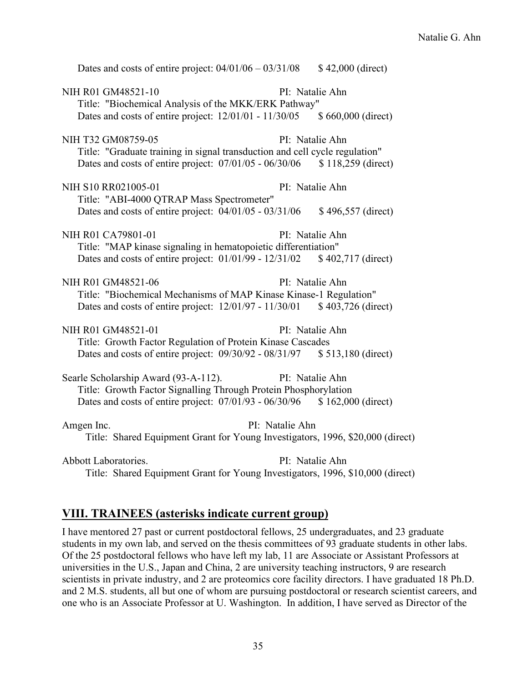| Dates and costs of entire project: $04/01/06 - 03/31/08$                                                                                    |                 | \$42,000 (direct)  |
|---------------------------------------------------------------------------------------------------------------------------------------------|-----------------|--------------------|
| NIH R01 GM48521-10<br>Title: "Biochemical Analysis of the MKK/ERK Pathway"                                                                  |                 | PI: Natalie Ahn    |
| Dates and costs of entire project: 12/01/01 - 11/30/05 \$ 660,000 (direct)                                                                  |                 |                    |
| NIH T32 GM08759-05                                                                                                                          |                 | PI: Natalie Ahn    |
| Title: "Graduate training in signal transduction and cell cycle regulation"<br>Dates and costs of entire project: $07/01/05 - 06/30/06$     |                 | \$118,259 (direct) |
| NIH S10 RR021005-01<br>Title: "ABI-4000 QTRAP Mass Spectrometer"                                                                            |                 | PI: Natalie Ahn    |
| Dates and costs of entire project: $04/01/05 - 03/31/06$                                                                                    |                 | \$496,557 (direct) |
| NIH R01 CA79801-01                                                                                                                          |                 | PI: Natalie Ahn    |
| Title: "MAP kinase signaling in hematopoietic differentiation"<br>Dates and costs of entire project: 01/01/99 - 12/31/02 \$402,717 (direct) |                 |                    |
|                                                                                                                                             |                 |                    |
| NIH R01 GM48521-06                                                                                                                          |                 | PI: Natalie Ahn    |
| Title: "Biochemical Mechanisms of MAP Kinase Kinase-1 Regulation"                                                                           |                 |                    |
| Dates and costs of entire project: 12/01/97 - 11/30/01 \$403,726 (direct)                                                                   |                 |                    |
| NIH R01 GM48521-01                                                                                                                          |                 | PI: Natalie Ahn    |
| Title: Growth Factor Regulation of Protein Kinase Cascades                                                                                  |                 |                    |
| Dates and costs of entire project: 09/30/92 - 08/31/97 \$ 513,180 (direct)                                                                  |                 |                    |
| Searle Scholarship Award (93-A-112).                                                                                                        |                 | PI: Natalie Ahn    |
| Title: Growth Factor Signalling Through Protein Phosphorylation                                                                             |                 |                    |
| Dates and costs of entire project: 07/01/93 - 06/30/96 \$162,000 (direct)                                                                   |                 |                    |
| Amgen Inc.                                                                                                                                  | PI: Natalie Ahn |                    |
| Title: Shared Equipment Grant for Young Investigators, 1996, \$20,000 (direct)                                                              |                 |                    |
| Abbott Laboratories.                                                                                                                        |                 | PI: Natalie Ahn    |

Title: Shared Equipment Grant for Young Investigators, 1996, \$10,000 (direct)

### **VIII. TRAINEES (asterisks indicate current group)**

I have mentored 27 past or current postdoctoral fellows, 25 undergraduates, and 23 graduate students in my own lab, and served on the thesis committees of 93 graduate students in other labs. Of the 25 postdoctoral fellows who have left my lab, 11 are Associate or Assistant Professors at universities in the U.S., Japan and China, 2 are university teaching instructors, 9 are research scientists in private industry, and 2 are proteomics core facility directors. I have graduated 18 Ph.D. and 2 M.S. students, all but one of whom are pursuing postdoctoral or research scientist careers, and one who is an Associate Professor at U. Washington. In addition, I have served as Director of the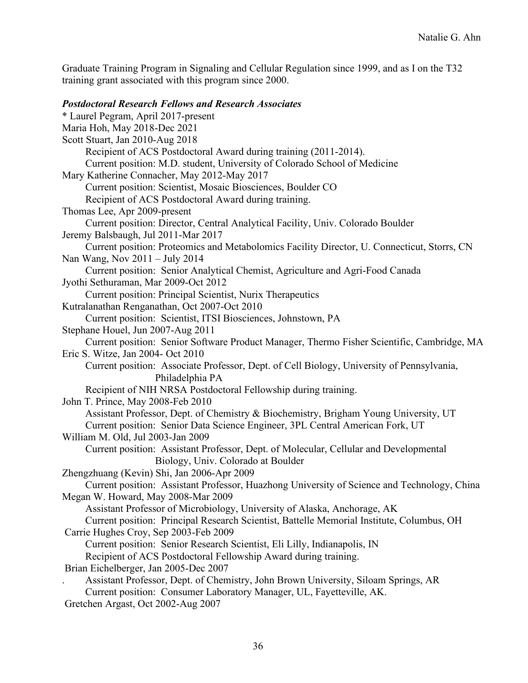Graduate Training Program in Signaling and Cellular Regulation since 1999, and as I on the T32 training grant associated with this program since 2000.

#### *Postdoctoral Research Fellows and Research Associates*

\* Laurel Pegram, April 2017-present Maria Hoh, May 2018-Dec 2021 Scott Stuart, Jan 2010-Aug 2018 Recipient of ACS Postdoctoral Award during training (2011-2014). Current position: M.D. student, University of Colorado School of Medicine Mary Katherine Connacher, May 2012-May 2017 Current position: Scientist, Mosaic Biosciences, Boulder CO Recipient of ACS Postdoctoral Award during training. Thomas Lee, Apr 2009-present Current position: Director, Central Analytical Facility, Univ. Colorado Boulder Jeremy Balsbaugh, Jul 2011-Mar 2017 Current position: Proteomics and Metabolomics Facility Director, U. Connecticut, Storrs, CN Nan Wang, Nov 2011 – July 2014 Current position: Senior Analytical Chemist, Agriculture and Agri-Food Canada Jyothi Sethuraman, Mar 2009-Oct 2012 Current position: Principal Scientist, Nurix Therapeutics Kutralanathan Renganathan, Oct 2007-Oct 2010 Current position: Scientist, ITSI Biosciences, Johnstown, PA Stephane Houel, Jun 2007-Aug 2011 Current position: Senior Software Product Manager, Thermo Fisher Scientific, Cambridge, MA Eric S. Witze, Jan 2004- Oct 2010 Current position: Associate Professor, Dept. of Cell Biology, University of Pennsylvania, Philadelphia PA Recipient of NIH NRSA Postdoctoral Fellowship during training. John T. Prince, May 2008-Feb 2010 Assistant Professor, Dept. of Chemistry & Biochemistry, Brigham Young University, UT Current position: Senior Data Science Engineer, 3PL Central American Fork, UT William M. Old, Jul 2003-Jan 2009 Current position: Assistant Professor, Dept. of Molecular, Cellular and Developmental Biology, Univ. Colorado at Boulder Zhengzhuang (Kevin) Shi, Jan 2006-Apr 2009 Current position: Assistant Professor, Huazhong University of Science and Technology, China Megan W. Howard, May 2008-Mar 2009 Assistant Professor of Microbiology, University of Alaska, Anchorage, AK Current position: Principal Research Scientist, Battelle Memorial Institute, Columbus, OH Carrie Hughes Croy, Sep 2003-Feb 2009 Current position: Senior Research Scientist, Eli Lilly, Indianapolis, IN Recipient of ACS Postdoctoral Fellowship Award during training. Brian Eichelberger, Jan 2005-Dec 2007 . Assistant Professor, Dept. of Chemistry, John Brown University, Siloam Springs, AR Current position: Consumer Laboratory Manager, UL, Fayetteville, AK. Gretchen Argast, Oct 2002-Aug 2007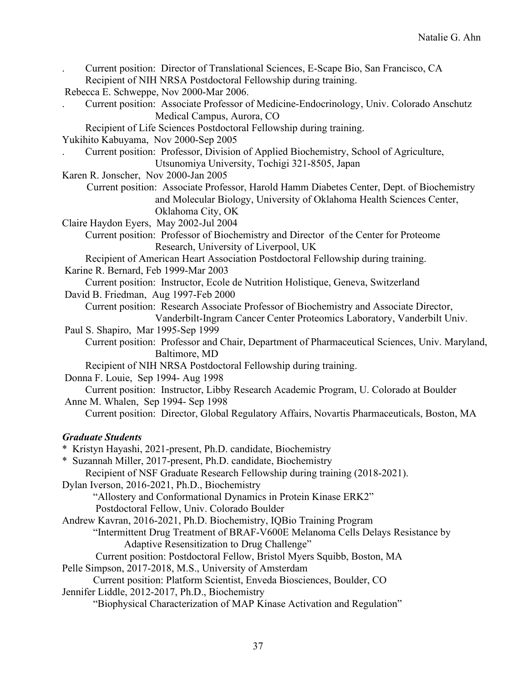| Current position: Director of Translational Sciences, E-Scape Bio, San Francisco, CA<br>Recipient of NIH NRSA Postdoctoral Fellowship during training.                                                                            |
|-----------------------------------------------------------------------------------------------------------------------------------------------------------------------------------------------------------------------------------|
| Rebecca E. Schweppe, Nov 2000-Mar 2006.                                                                                                                                                                                           |
| Current position: Associate Professor of Medicine-Endocrinology, Univ. Colorado Anschutz                                                                                                                                          |
| Medical Campus, Aurora, CO                                                                                                                                                                                                        |
| Recipient of Life Sciences Postdoctoral Fellowship during training.                                                                                                                                                               |
| Yukihito Kabuyama, Nov 2000-Sep 2005                                                                                                                                                                                              |
| Current position: Professor, Division of Applied Biochemistry, School of Agriculture,                                                                                                                                             |
| Utsunomiya University, Tochigi 321-8505, Japan                                                                                                                                                                                    |
| Karen R. Jonscher, Nov 2000-Jan 2005                                                                                                                                                                                              |
| Current position: Associate Professor, Harold Hamm Diabetes Center, Dept. of Biochemistry<br>and Molecular Biology, University of Oklahoma Health Sciences Center,<br>Oklahoma City, OK<br>Claire Haydon Eyers, May 2002-Jul 2004 |
| Current position: Professor of Biochemistry and Director of the Center for Proteome                                                                                                                                               |
| Research, University of Liverpool, UK                                                                                                                                                                                             |
| Recipient of American Heart Association Postdoctoral Fellowship during training.<br>Karine R. Bernard, Feb 1999-Mar 2003                                                                                                          |
| Current position: Instructor, Ecole de Nutrition Holistique, Geneva, Switzerland                                                                                                                                                  |
| David B. Friedman, Aug 1997-Feb 2000                                                                                                                                                                                              |
| Current position: Research Associate Professor of Biochemistry and Associate Director,                                                                                                                                            |
| Vanderbilt-Ingram Cancer Center Proteomics Laboratory, Vanderbilt Univ.                                                                                                                                                           |
| Paul S. Shapiro, Mar 1995-Sep 1999                                                                                                                                                                                                |
| Current position: Professor and Chair, Department of Pharmaceutical Sciences, Univ. Maryland,<br>Baltimore, MD                                                                                                                    |
| Recipient of NIH NRSA Postdoctoral Fellowship during training.                                                                                                                                                                    |
| Donna F. Louie, Sep 1994- Aug 1998                                                                                                                                                                                                |
| Current position: Instructor, Libby Research Academic Program, U. Colorado at Boulder                                                                                                                                             |
| Anne M. Whalen, Sep 1994- Sep 1998                                                                                                                                                                                                |
| Current position: Director, Global Regulatory Affairs, Novartis Pharmaceuticals, Boston, MA                                                                                                                                       |
| <b>Graduate Students</b>                                                                                                                                                                                                          |
| * Kristyn Hayashi, 2021-present, Ph.D. candidate, Biochemistry                                                                                                                                                                    |
| * Suzannah Miller, 2017-present, Ph.D. candidate, Biochemistry                                                                                                                                                                    |
| Recipient of NSF Graduate Research Fellowship during training (2018-2021).                                                                                                                                                        |
| Dylan Iverson, 2016-2021, Ph.D., Biochemistry                                                                                                                                                                                     |
| "Allostery and Conformational Dynamics in Protein Kinase ERK2"                                                                                                                                                                    |
| Postdoctoral Fellow, Univ. Colorado Boulder                                                                                                                                                                                       |
| Andrew Kavran, 2016-2021, Ph.D. Biochemistry, IQBio Training Program                                                                                                                                                              |
| "Intermittent Drug Treatment of BRAF-V600E Melanoma Cells Delays Resistance by                                                                                                                                                    |
| Adaptive Resensitization to Drug Challenge"                                                                                                                                                                                       |
| Current position: Postdoctoral Fellow, Bristol Myers Squibb, Boston, MA                                                                                                                                                           |
| Pelle Simpson, 2017-2018, M.S., University of Amsterdam                                                                                                                                                                           |
| Current position: Platform Scientist, Enveda Biosciences, Boulder, CO                                                                                                                                                             |
| Jennifer Liddle, 2012-2017, Ph.D., Biochemistry                                                                                                                                                                                   |
| "Biophysical Characterization of MAP Kinase Activation and Regulation"                                                                                                                                                            |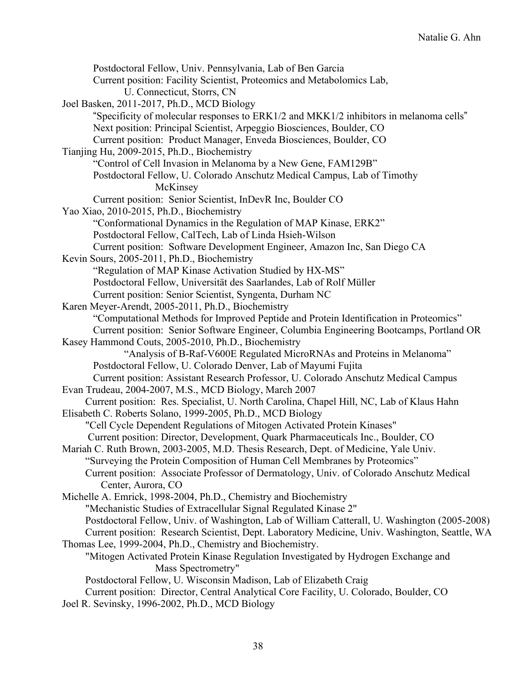Postdoctoral Fellow, Univ. Pennsylvania, Lab of Ben Garcia Current position: Facility Scientist, Proteomics and Metabolomics Lab, U. Connecticut, Storrs, CN Joel Basken, 2011-2017, Ph.D., MCD Biology "Specificity of molecular responses to ERK1/2 and MKK1/2 inhibitors in melanoma cells" Next position: Principal Scientist, Arpeggio Biosciences, Boulder, CO Current position: Product Manager, Enveda Biosciences, Boulder, CO Tianjing Hu, 2009-2015, Ph.D., Biochemistry "Control of Cell Invasion in Melanoma by a New Gene, FAM129B" Postdoctoral Fellow, U. Colorado Anschutz Medical Campus, Lab of Timothy McKinsey Current position: Senior Scientist, InDevR Inc, Boulder CO Yao Xiao, 2010-2015, Ph.D., Biochemistry "Conformational Dynamics in the Regulation of MAP Kinase, ERK2" Postdoctoral Fellow, CalTech, Lab of Linda Hsieh-Wilson Current position: Software Development Engineer, Amazon Inc, San Diego CA Kevin Sours, 2005-2011, Ph.D., Biochemistry "Regulation of MAP Kinase Activation Studied by HX-MS" Postdoctoral Fellow, Universität des Saarlandes, Lab of Rolf Müller Current position: Senior Scientist, Syngenta, Durham NC Karen Meyer-Arendt, 2005-2011, Ph.D., Biochemistry "Computational Methods for Improved Peptide and Protein Identification in Proteomics" Current position: Senior Software Engineer, Columbia Engineering Bootcamps, Portland OR Kasey Hammond Couts, 2005-2010, Ph.D., Biochemistry "Analysis of B-Raf-V600E Regulated MicroRNAs and Proteins in Melanoma" Postdoctoral Fellow, U. Colorado Denver, Lab of Mayumi Fujita Current position: Assistant Research Professor, U. Colorado Anschutz Medical Campus Evan Trudeau, 2004-2007, M.S., MCD Biology, March 2007 Current position: Res. Specialist, U. North Carolina, Chapel Hill, NC, Lab of Klaus Hahn Elisabeth C. Roberts Solano, 1999-2005, Ph.D., MCD Biology "Cell Cycle Dependent Regulations of Mitogen Activated Protein Kinases" Current position: Director, Development, Quark Pharmaceuticals Inc., Boulder, CO Mariah C. Ruth Brown, 2003-2005, M.D. Thesis Research, Dept. of Medicine, Yale Univ. "Surveying the Protein Composition of Human Cell Membranes by Proteomics" Current position: Associate Professor of Dermatology, Univ. of Colorado Anschutz Medical Center, Aurora, CO Michelle A. Emrick, 1998-2004, Ph.D., Chemistry and Biochemistry "Mechanistic Studies of Extracellular Signal Regulated Kinase 2" Postdoctoral Fellow, Univ. of Washington, Lab of William Catterall, U. Washington (2005-2008) Current position: Research Scientist, Dept. Laboratory Medicine, Univ. Washington, Seattle, WA Thomas Lee, 1999-2004, Ph.D., Chemistry and Biochemistry. "Mitogen Activated Protein Kinase Regulation Investigated by Hydrogen Exchange and Mass Spectrometry" Postdoctoral Fellow, U. Wisconsin Madison, Lab of Elizabeth Craig Current position: Director, Central Analytical Core Facility, U. Colorado, Boulder, CO Joel R. Sevinsky, 1996-2002, Ph.D., MCD Biology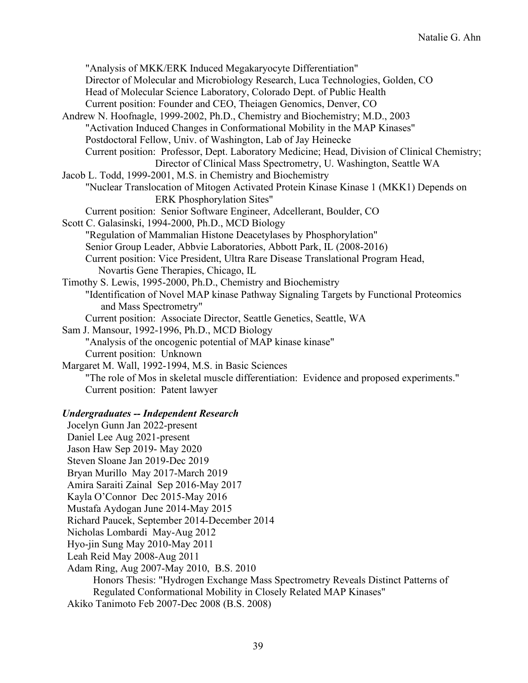"Analysis of MKK/ERK Induced Megakaryocyte Differentiation" Director of Molecular and Microbiology Research, Luca Technologies, Golden, CO Head of Molecular Science Laboratory, Colorado Dept. of Public Health Current position: Founder and CEO, Theiagen Genomics, Denver, CO Andrew N. Hoofnagle, 1999-2002, Ph.D., Chemistry and Biochemistry; M.D., 2003 "Activation Induced Changes in Conformational Mobility in the MAP Kinases" Postdoctoral Fellow, Univ. of Washington, Lab of Jay Heinecke Current position: Professor, Dept. Laboratory Medicine; Head, Division of Clinical Chemistry; Director of Clinical Mass Spectrometry, U. Washington, Seattle WA Jacob L. Todd, 1999-2001, M.S. in Chemistry and Biochemistry "Nuclear Translocation of Mitogen Activated Protein Kinase Kinase 1 (MKK1) Depends on ERK Phosphorylation Sites" Current position: Senior Software Engineer, Adcellerant, Boulder, CO Scott C. Galasinski, 1994-2000, Ph.D., MCD Biology "Regulation of Mammalian Histone Deacetylases by Phosphorylation" Senior Group Leader, Abbvie Laboratories, Abbott Park, IL (2008-2016) Current position: Vice President, Ultra Rare Disease Translational Program Head, Novartis Gene Therapies, Chicago, IL Timothy S. Lewis, 1995-2000, Ph.D., Chemistry and Biochemistry "Identification of Novel MAP kinase Pathway Signaling Targets by Functional Proteomics and Mass Spectrometry" Current position: Associate Director, Seattle Genetics, Seattle, WA Sam J. Mansour, 1992-1996, Ph.D., MCD Biology "Analysis of the oncogenic potential of MAP kinase kinase" Current position: Unknown Margaret M. Wall, 1992-1994, M.S. in Basic Sciences "The role of Mos in skeletal muscle differentiation: Evidence and proposed experiments." Current position: Patent lawyer *Undergraduates -- Independent Research* Jocelyn Gunn Jan 2022-present Daniel Lee Aug 2021-present Jason Haw Sep 2019- May 2020

Steven Sloane Jan 2019-Dec 2019

Bryan Murillo May 2017-March 2019

Amira Saraiti Zainal Sep 2016-May 2017

Kayla O'Connor Dec 2015-May 2016

 Mustafa Aydogan June 2014-May 2015 Richard Paucek, September 2014-December 2014

Nicholas Lombardi May-Aug 2012

Hyo-jin Sung May 2010-May 2011

Leah Reid May 2008-Aug 2011

Adam Ring, Aug 2007-May 2010, B.S. 2010

Honors Thesis: "Hydrogen Exchange Mass Spectrometry Reveals Distinct Patterns of Regulated Conformational Mobility in Closely Related MAP Kinases"

Akiko Tanimoto Feb 2007-Dec 2008 (B.S. 2008)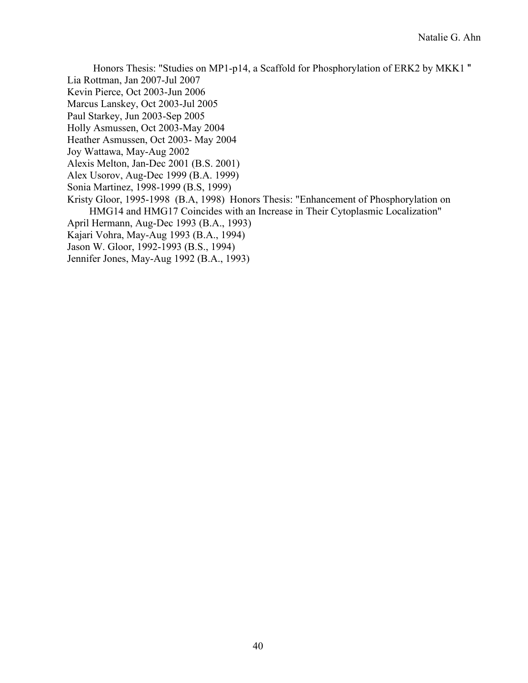Honors Thesis: "Studies on MP1-p14, a Scaffold for Phosphorylation of ERK2 by MKK1 "

Lia Rottman, Jan 2007-Jul 2007

Kevin Pierce, Oct 2003-Jun 2006

Marcus Lanskey, Oct 2003-Jul 2005

Paul Starkey, Jun 2003-Sep 2005

Holly Asmussen, Oct 2003-May 2004

Heather Asmussen, Oct 2003- May 2004

Joy Wattawa, May-Aug 2002

Alexis Melton, Jan-Dec 2001 (B.S. 2001)

Alex Usorov, Aug-Dec 1999 (B.A. 1999)

Sonia Martinez, 1998-1999 (B.S, 1999)

 Kristy Gloor, 1995-1998 (B.A, 1998) Honors Thesis: "Enhancement of Phosphorylation on HMG14 and HMG17 Coincides with an Increase in Their Cytoplasmic Localization"

April Hermann, Aug-Dec 1993 (B.A., 1993)

Kajari Vohra, May-Aug 1993 (B.A., 1994)

Jason W. Gloor, 1992-1993 (B.S., 1994)

Jennifer Jones, May-Aug 1992 (B.A., 1993)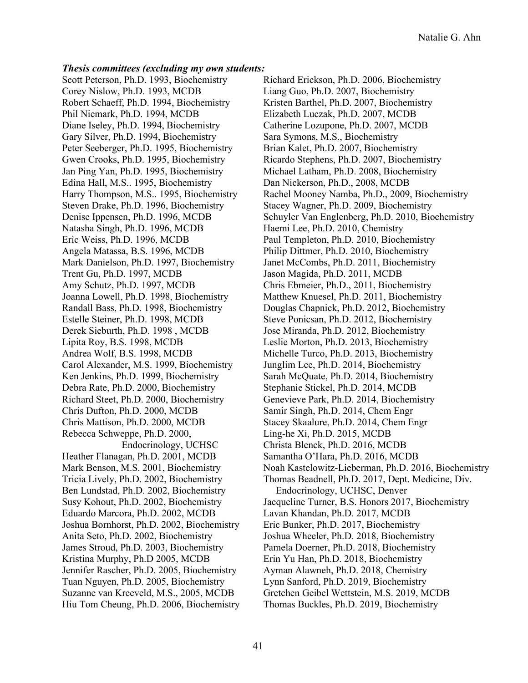#### *Thesis committees (excluding my own students:*

Scott Peterson, Ph.D. 1993, Biochemistry Corey Nislow, Ph.D. 1993, MCDB Robert Schaeff, Ph.D. 1994, Biochemistry Phil Niemark, Ph.D. 1994, MCDB Diane Iseley, Ph.D. 1994, Biochemistry Gary Silver, Ph.D. 1994, Biochemistry Peter Seeberger, Ph.D. 1995, Biochemistry Gwen Crooks, Ph.D. 1995, Biochemistry Jan Ping Yan, Ph.D. 1995, Biochemistry Edina Hall, M.S.. 1995, Biochemistry Harry Thompson, M.S.. 1995, Biochemistry Steven Drake, Ph.D. 1996, Biochemistry Denise Ippensen, Ph.D. 1996, MCDB Natasha Singh, Ph.D. 1996, MCDB Eric Weiss, Ph.D. 1996, MCDB Angela Matassa, B.S. 1996, MCDB Mark Danielson, Ph.D. 1997, Biochemistry Trent Gu, Ph.D. 1997, MCDB Amy Schutz, Ph.D. 1997, MCDB Joanna Lowell, Ph.D. 1998, Biochemistry Randall Bass, Ph.D. 1998, Biochemistry Estelle Steiner, Ph.D. 1998, MCDB Derek Sieburth, Ph.D. 1998 , MCDB Lipita Roy, B.S. 1998, MCDB Andrea Wolf, B.S. 1998, MCDB Carol Alexander, M.S. 1999, Biochemistry Ken Jenkins, Ph.D. 1999, Biochemistry Debra Rate, Ph.D. 2000, Biochemistry Richard Steet, Ph.D. 2000, Biochemistry Chris Dufton, Ph.D. 2000, MCDB Chris Mattison, Ph.D. 2000, MCDB Rebecca Schweppe, Ph.D. 2000, Endocrinology, UCHSC Heather Flanagan, Ph.D. 2001, MCDB Mark Benson, M.S. 2001, Biochemistry Tricia Lively, Ph.D. 2002, Biochemistry Ben Lundstad, Ph.D. 2002, Biochemistry Susy Kohout, Ph.D. 2002, Biochemistry Eduardo Marcora, Ph.D. 2002, MCDB Joshua Bornhorst, Ph.D. 2002, Biochemistry Anita Seto, Ph.D. 2002, Biochemistry James Stroud, Ph.D. 2003, Biochemistry Kristina Murphy, Ph.D 2005, MCDB Jennifer Rascher, Ph.D. 2005, Biochemistry Tuan Nguyen, Ph.D. 2005, Biochemistry Suzanne van Kreeveld, M.S., 2005, MCDB Hiu Tom Cheung, Ph.D. 2006, Biochemistry Richard Erickson, Ph.D. 2006, Biochemistry Liang Guo, Ph.D. 2007, Biochemistry Kristen Barthel, Ph.D. 2007, Biochemistry Elizabeth Luczak, Ph.D. 2007, MCDB Catherine Lozupone, Ph.D. 2007, MCDB Sara Symons, M.S., Biochemistry Brian Kalet, Ph.D. 2007, Biochemistry Ricardo Stephens, Ph.D. 2007, Biochemistry Michael Latham, Ph.D. 2008, Biochemistry Dan Nickerson, Ph.D., 2008, MCDB Rachel Mooney Namba, Ph.D., 2009, Biochemistry Stacey Wagner, Ph.D. 2009, Biochemistry Schuyler Van Englenberg, Ph.D. 2010, Biochemistry Haemi Lee, Ph.D. 2010, Chemistry Paul Templeton, Ph.D. 2010, Biochemistry Philip Dittmer, Ph.D. 2010, Biochemistry Janet McCombs, Ph.D. 2011, Biochemistry Jason Magida, Ph.D. 2011, MCDB Chris Ebmeier, Ph.D., 2011, Biochemistry Matthew Knuesel, Ph.D. 2011, Biochemistry Douglas Chapnick, Ph.D. 2012, Biochemistry Steve Ponicsan, Ph.D. 2012, Biochemistry Jose Miranda, Ph.D. 2012, Biochemistry Leslie Morton, Ph.D. 2013, Biochemistry Michelle Turco, Ph.D. 2013, Biochemistry Junglim Lee, Ph.D. 2014, Biochemistry Sarah McQuate, Ph.D. 2014, Biochemistry Stephanie Stickel, Ph.D. 2014, MCDB Genevieve Park, Ph.D. 2014, Biochemistry Samir Singh, Ph.D. 2014, Chem Engr Stacey Skaalure, Ph.D. 2014, Chem Engr Ling-he Xi, Ph.D. 2015, MCDB Christa Blenck, Ph.D. 2016, MCDB Samantha O'Hara, Ph.D. 2016, MCDB Noah Kastelowitz-Lieberman, Ph.D. 2016, Biochemistry Thomas Beadnell, Ph.D. 2017, Dept. Medicine, Div. Endocrinology, UCHSC, Denver Jacqueline Turner, B.S. Honors 2017, Biochemistry Lavan Khandan, Ph.D. 2017, MCDB Eric Bunker, Ph.D. 2017, Biochemistry Joshua Wheeler, Ph.D. 2018, Biochemistry Pamela Doerner, Ph.D. 2018, Biochemistry Erin Yu Han, Ph.D. 2018, Biochemistry Ayman Alawneh, Ph.D. 2018, Chemistry Lynn Sanford, Ph.D. 2019, Biochemistry Gretchen Geibel Wettstein, M.S. 2019, MCDB Thomas Buckles, Ph.D. 2019, Biochemistry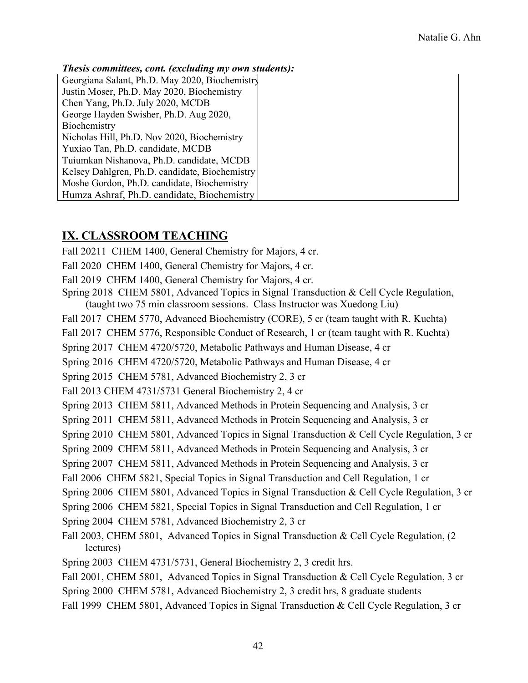#### *Thesis committees, cont. (excluding my own students):*

| Georgiana Salant, Ph.D. May 2020, Biochemistry |
|------------------------------------------------|
| Justin Moser, Ph.D. May 2020, Biochemistry     |
| Chen Yang, Ph.D. July 2020, MCDB               |
| George Hayden Swisher, Ph.D. Aug 2020,         |
| Biochemistry                                   |
| Nicholas Hill, Ph.D. Nov 2020, Biochemistry    |
| Yuxiao Tan, Ph.D. candidate, MCDB              |
| Tuiumkan Nishanova, Ph.D. candidate, MCDB      |
| Kelsey Dahlgren, Ph.D. candidate, Biochemistry |
| Moshe Gordon, Ph.D. candidate, Biochemistry    |
| Humza Ashraf, Ph.D. candidate, Biochemistry    |

### **IX. CLASSROOM TEACHING**

Fall 20211 CHEM 1400, General Chemistry for Majors, 4 cr.

Fall 2020 CHEM 1400, General Chemistry for Majors, 4 cr.

Fall 2019 CHEM 1400, General Chemistry for Majors, 4 cr.

Spring 2018 CHEM 5801, Advanced Topics in Signal Transduction & Cell Cycle Regulation, (taught two 75 min classroom sessions. Class Instructor was Xuedong Liu)

Fall 2017 CHEM 5770, Advanced Biochemistry (CORE), 5 cr (team taught with R. Kuchta)

Fall 2017 CHEM 5776, Responsible Conduct of Research, 1 cr (team taught with R. Kuchta)

Spring 2017 CHEM 4720/5720, Metabolic Pathways and Human Disease, 4 cr

Spring 2016 CHEM 4720/5720, Metabolic Pathways and Human Disease, 4 cr

Spring 2015 CHEM 5781, Advanced Biochemistry 2, 3 cr

Fall 2013 CHEM 4731/5731 General Biochemistry 2, 4 cr

Spring 2013 CHEM 5811, Advanced Methods in Protein Sequencing and Analysis, 3 cr

Spring 2011 CHEM 5811, Advanced Methods in Protein Sequencing and Analysis, 3 cr

Spring 2010 CHEM 5801, Advanced Topics in Signal Transduction & Cell Cycle Regulation, 3 cr

Spring 2009 CHEM 5811, Advanced Methods in Protein Sequencing and Analysis, 3 cr

Spring 2007 CHEM 5811, Advanced Methods in Protein Sequencing and Analysis, 3 cr

Fall 2006 CHEM 5821, Special Topics in Signal Transduction and Cell Regulation, 1 cr

Spring 2006 CHEM 5801, Advanced Topics in Signal Transduction & Cell Cycle Regulation, 3 cr

Spring 2006 CHEM 5821, Special Topics in Signal Transduction and Cell Regulation, 1 cr

Spring 2004 CHEM 5781, Advanced Biochemistry 2, 3 cr

Fall 2003, CHEM 5801, Advanced Topics in Signal Transduction & Cell Cycle Regulation, (2 lectures)

Spring 2003 CHEM 4731/5731, General Biochemistry 2, 3 credit hrs.

Fall 2001, CHEM 5801, Advanced Topics in Signal Transduction & Cell Cycle Regulation, 3 cr

Spring 2000 CHEM 5781, Advanced Biochemistry 2, 3 credit hrs, 8 graduate students

Fall 1999 CHEM 5801, Advanced Topics in Signal Transduction & Cell Cycle Regulation, 3 cr